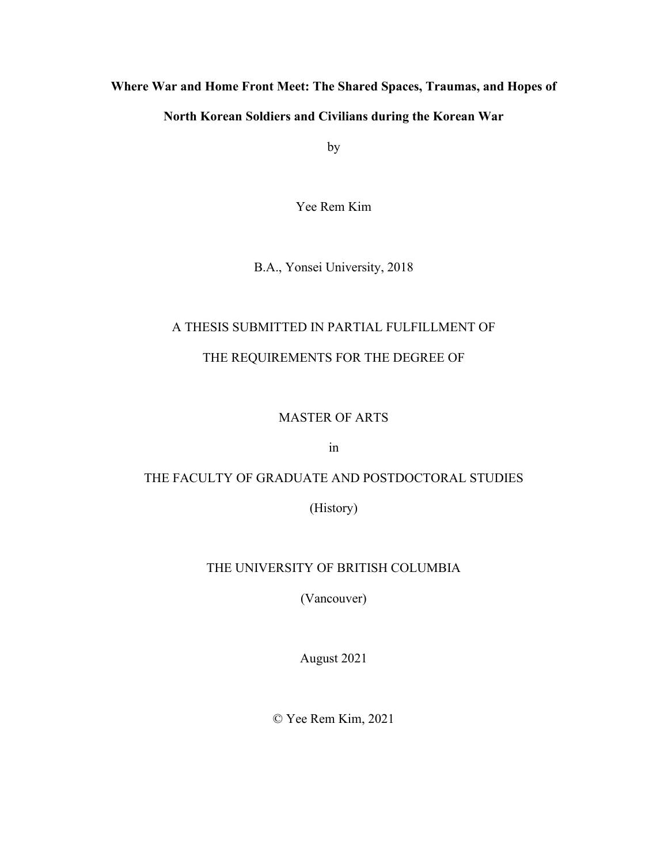## **Where War and Home Front Meet: The Shared Spaces, Traumas, and Hopes of**

## **North Korean Soldiers and Civilians during the Korean War**

by

Yee Rem Kim

B.A., Yonsei University, 2018

# A THESIS SUBMITTED IN PARTIAL FULFILLMENT OF

## THE REQUIREMENTS FOR THE DEGREE OF

## MASTER OF ARTS

in

## THE FACULTY OF GRADUATE AND POSTDOCTORAL STUDIES

(History)

## THE UNIVERSITY OF BRITISH COLUMBIA

(Vancouver)

August 2021

© Yee Rem Kim, 2021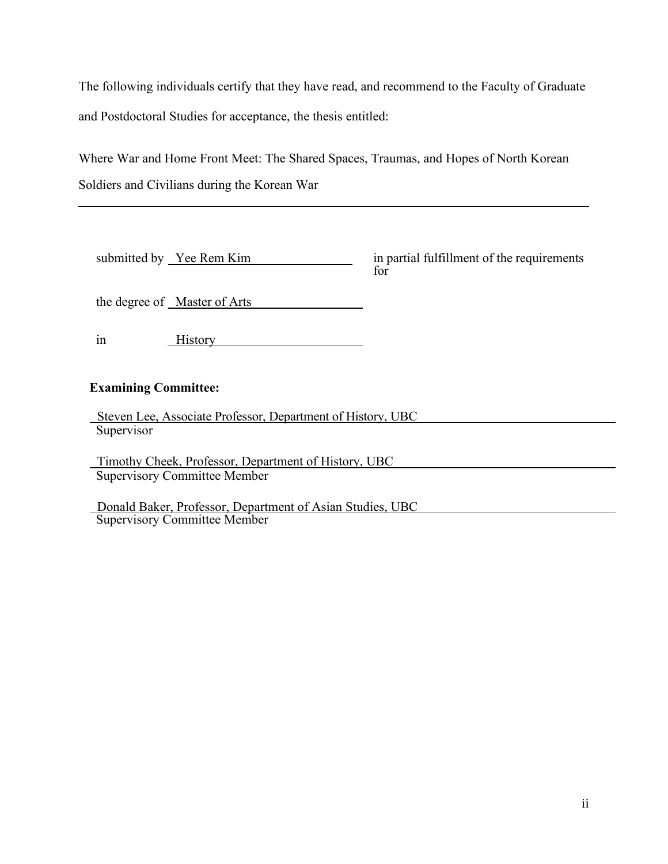The following individuals certify that they have read, and recommend to the Faculty of Graduate and Postdoctoral Studies for acceptance, the thesis entitled:

Where War and Home Front Meet: The Shared Spaces, Traumas, and Hopes of North Korean Soldiers and Civilians during the Korean War

| submitted by Yee Rem Kim                                    | in partial fulfillment of the requirements<br>for |  |
|-------------------------------------------------------------|---------------------------------------------------|--|
| the degree of Master of Arts                                |                                                   |  |
| <b>History</b><br>1n                                        |                                                   |  |
| <b>Examining Committee:</b>                                 |                                                   |  |
| Steven Lee, Associate Professor, Department of History, UBC |                                                   |  |
| Supervisor                                                  |                                                   |  |
| Timothy Cheek, Professor, Department of History, UBC        |                                                   |  |
| <b>Supervisory Committee Member</b>                         |                                                   |  |
|                                                             |                                                   |  |

Donald Baker, Professor, Department of Asian Studies, UBC

Supervisory Committee Member

ii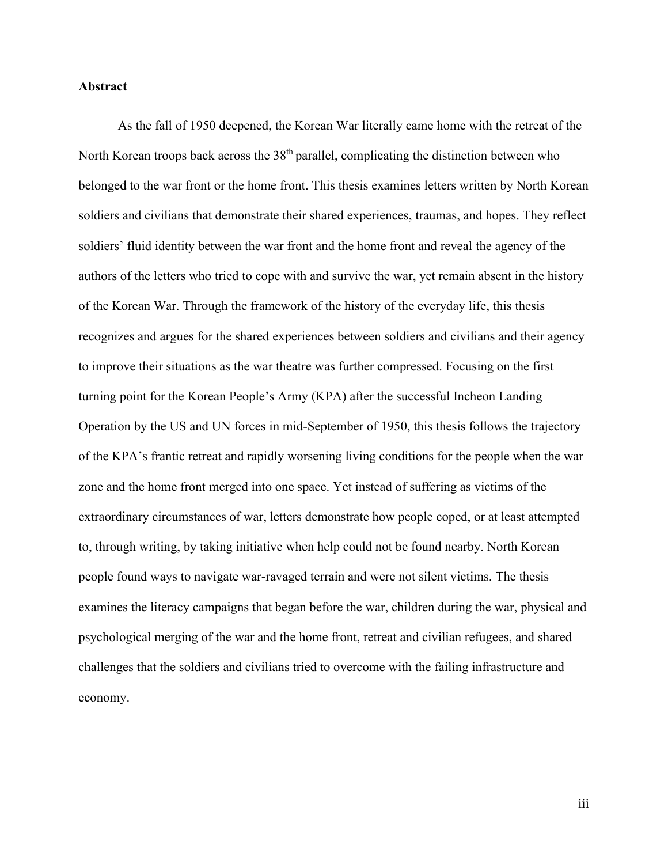#### **Abstract**

As the fall of 1950 deepened, the Korean War literally came home with the retreat of the North Korean troops back across the 38<sup>th</sup> parallel, complicating the distinction between who belonged to the war front or the home front. This thesis examines letters written by North Korean soldiers and civilians that demonstrate their shared experiences, traumas, and hopes. They reflect soldiers' fluid identity between the war front and the home front and reveal the agency of the authors of the letters who tried to cope with and survive the war, yet remain absent in the history of the Korean War. Through the framework of the history of the everyday life, this thesis recognizes and argues for the shared experiences between soldiers and civilians and their agency to improve their situations as the war theatre was further compressed. Focusing on the first turning point for the Korean People's Army (KPA) after the successful Incheon Landing Operation by the US and UN forces in mid-September of 1950, this thesis follows the trajectory of the KPA's frantic retreat and rapidly worsening living conditions for the people when the war zone and the home front merged into one space. Yet instead of suffering as victims of the extraordinary circumstances of war, letters demonstrate how people coped, or at least attempted to, through writing, by taking initiative when help could not be found nearby. North Korean people found ways to navigate war-ravaged terrain and were not silent victims. The thesis examines the literacy campaigns that began before the war, children during the war, physical and psychological merging of the war and the home front, retreat and civilian refugees, and shared challenges that the soldiers and civilians tried to overcome with the failing infrastructure and economy.

iii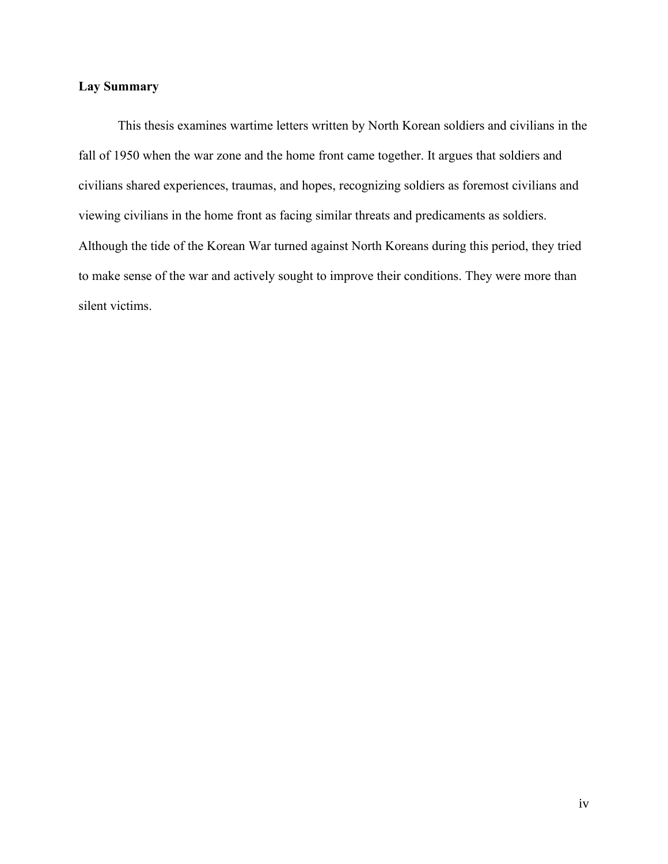## **Lay Summary**

This thesis examines wartime letters written by North Korean soldiers and civilians in the fall of 1950 when the war zone and the home front came together. It argues that soldiers and civilians shared experiences, traumas, and hopes, recognizing soldiers as foremost civilians and viewing civilians in the home front as facing similar threats and predicaments as soldiers. Although the tide of the Korean War turned against North Koreans during this period, they tried to make sense of the war and actively sought to improve their conditions. They were more than silent victims.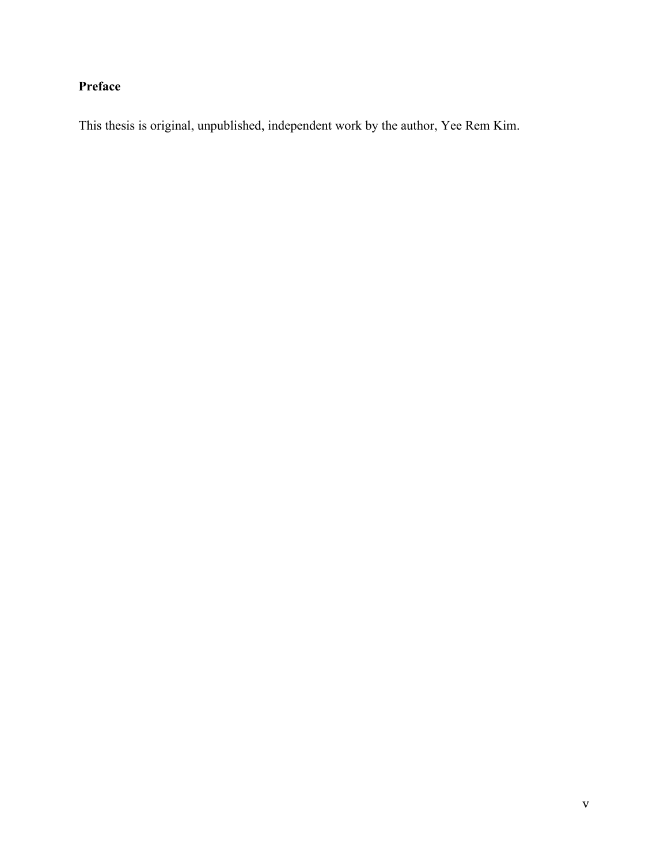# **Preface**

This thesis is original, unpublished, independent work by the author, Yee Rem Kim.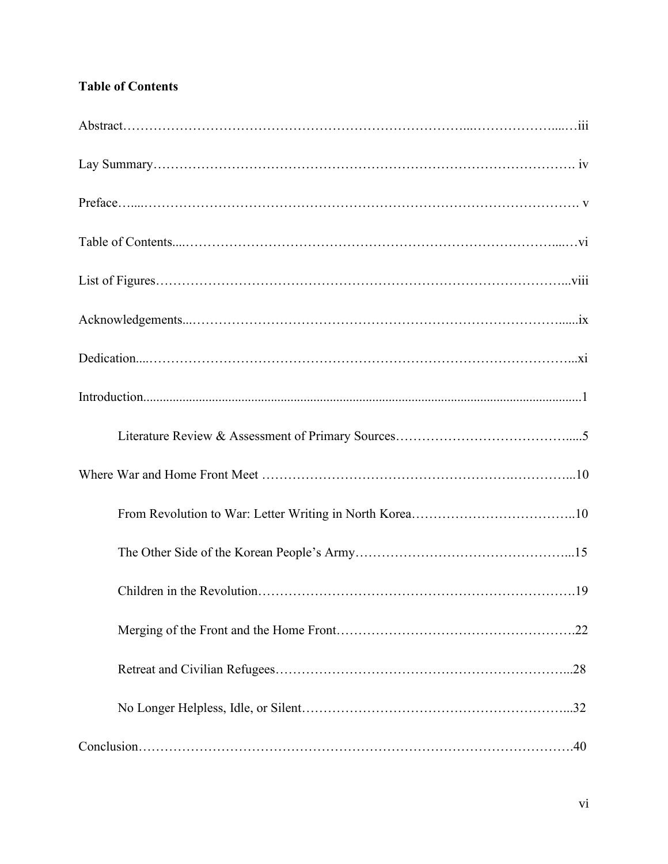## **Table of Contents**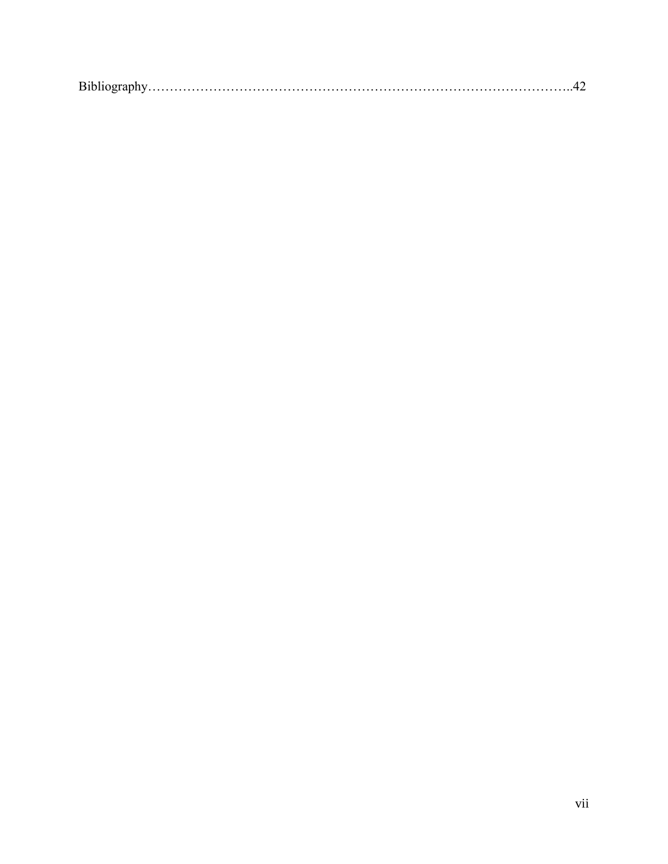|--|--|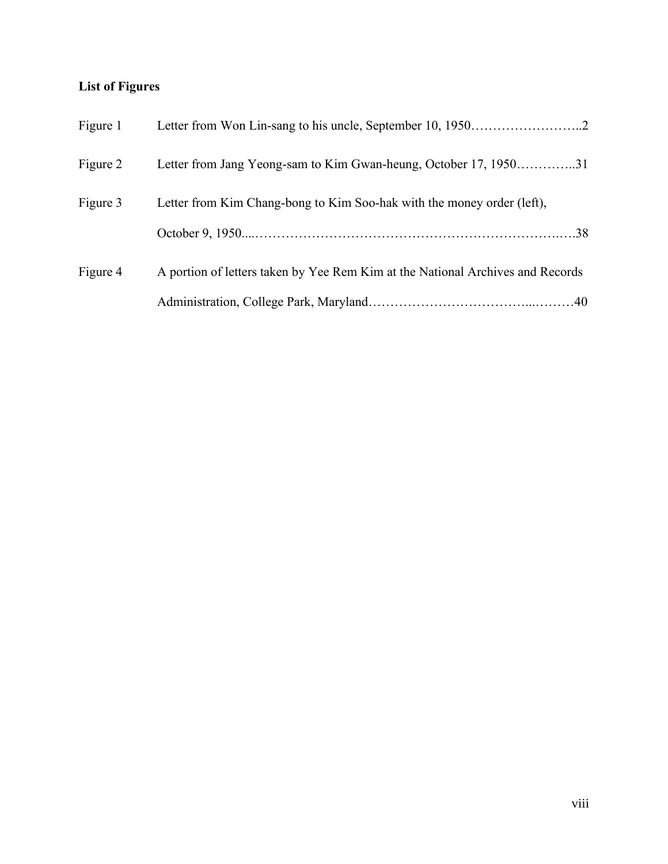## **List of Figures**

| Figure 1 |                                                                                |
|----------|--------------------------------------------------------------------------------|
| Figure 2 | Letter from Jang Yeong-sam to Kim Gwan-heung, October 17, 195031               |
| Figure 3 | Letter from Kim Chang-bong to Kim Soo-hak with the money order (left),         |
|          |                                                                                |
| Figure 4 | A portion of letters taken by Yee Rem Kim at the National Archives and Records |
|          |                                                                                |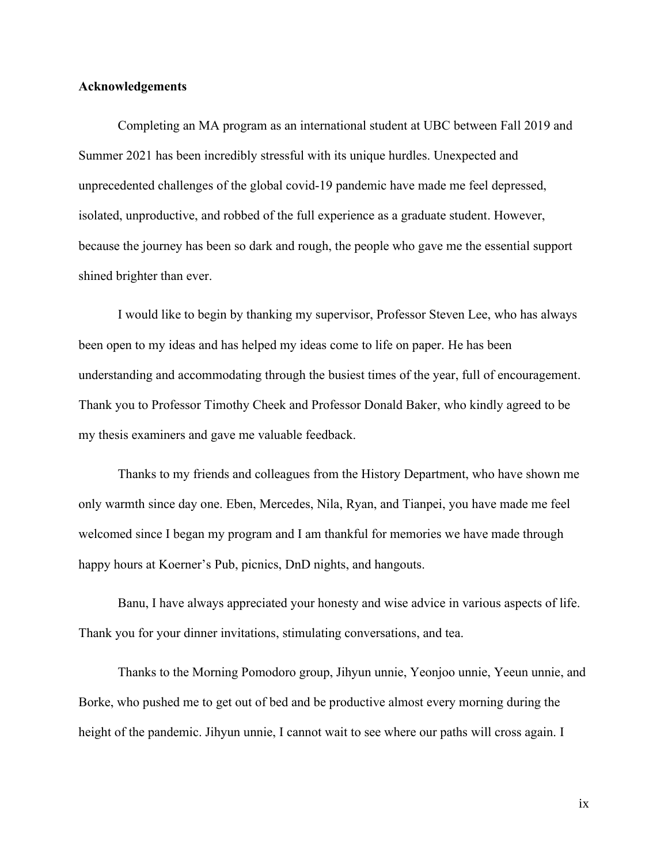#### **Acknowledgements**

Completing an MA program as an international student at UBC between Fall 2019 and Summer 2021 has been incredibly stressful with its unique hurdles. Unexpected and unprecedented challenges of the global covid-19 pandemic have made me feel depressed, isolated, unproductive, and robbed of the full experience as a graduate student. However, because the journey has been so dark and rough, the people who gave me the essential support shined brighter than ever.

I would like to begin by thanking my supervisor, Professor Steven Lee, who has always been open to my ideas and has helped my ideas come to life on paper. He has been understanding and accommodating through the busiest times of the year, full of encouragement. Thank you to Professor Timothy Cheek and Professor Donald Baker, who kindly agreed to be my thesis examiners and gave me valuable feedback.

Thanks to my friends and colleagues from the History Department, who have shown me only warmth since day one. Eben, Mercedes, Nila, Ryan, and Tianpei, you have made me feel welcomed since I began my program and I am thankful for memories we have made through happy hours at Koerner's Pub, picnics, DnD nights, and hangouts.

Banu, I have always appreciated your honesty and wise advice in various aspects of life. Thank you for your dinner invitations, stimulating conversations, and tea.

Thanks to the Morning Pomodoro group, Jihyun unnie, Yeonjoo unnie, Yeeun unnie, and Borke, who pushed me to get out of bed and be productive almost every morning during the height of the pandemic. Jihyun unnie, I cannot wait to see where our paths will cross again. I

ix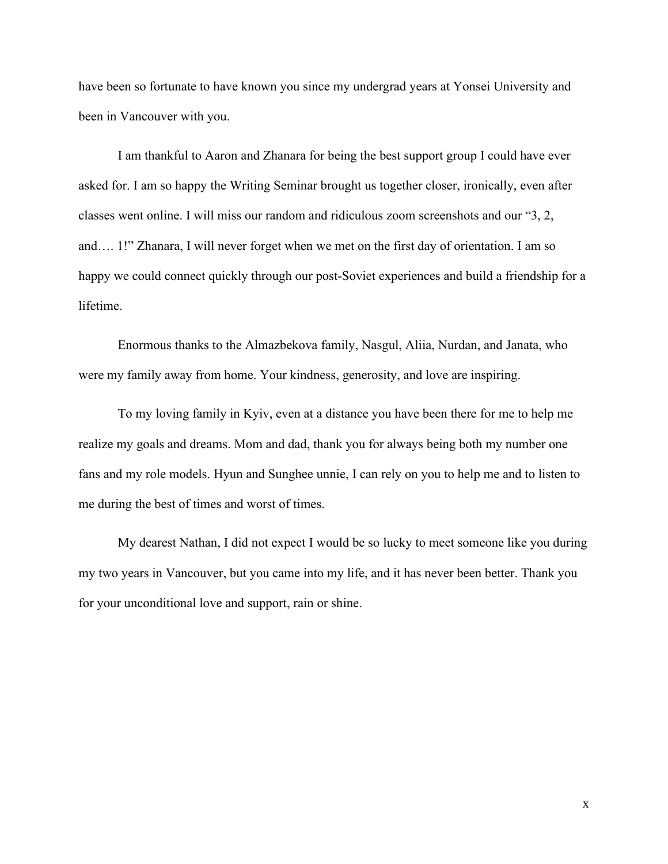have been so fortunate to have known you since my undergrad years at Yonsei University and been in Vancouver with you.

I am thankful to Aaron and Zhanara for being the best support group I could have ever asked for. I am so happy the Writing Seminar brought us together closer, ironically, even after classes went online. I will miss our random and ridiculous zoom screenshots and our "3, 2, and…. 1!" Zhanara, I will never forget when we met on the first day of orientation. I am so happy we could connect quickly through our post-Soviet experiences and build a friendship for a lifetime.

Enormous thanks to the Almazbekova family, Nasgul, Aliia, Nurdan, and Janata, who were my family away from home. Your kindness, generosity, and love are inspiring.

To my loving family in Kyiv, even at a distance you have been there for me to help me realize my goals and dreams. Mom and dad, thank you for always being both my number one fans and my role models. Hyun and Sunghee unnie, I can rely on you to help me and to listen to me during the best of times and worst of times.

My dearest Nathan, I did not expect I would be so lucky to meet someone like you during my two years in Vancouver, but you came into my life, and it has never been better. Thank you for your unconditional love and support, rain or shine.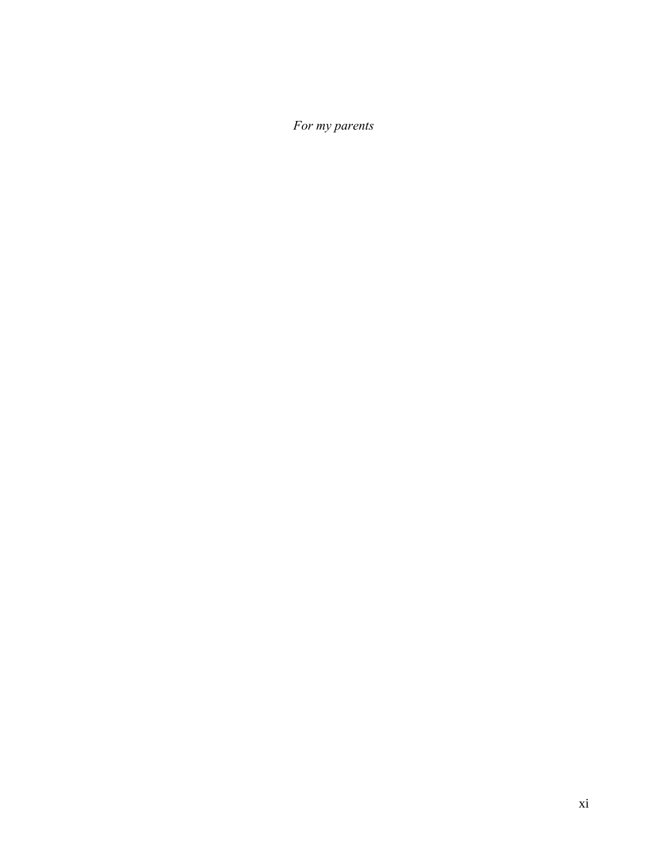*For my parents*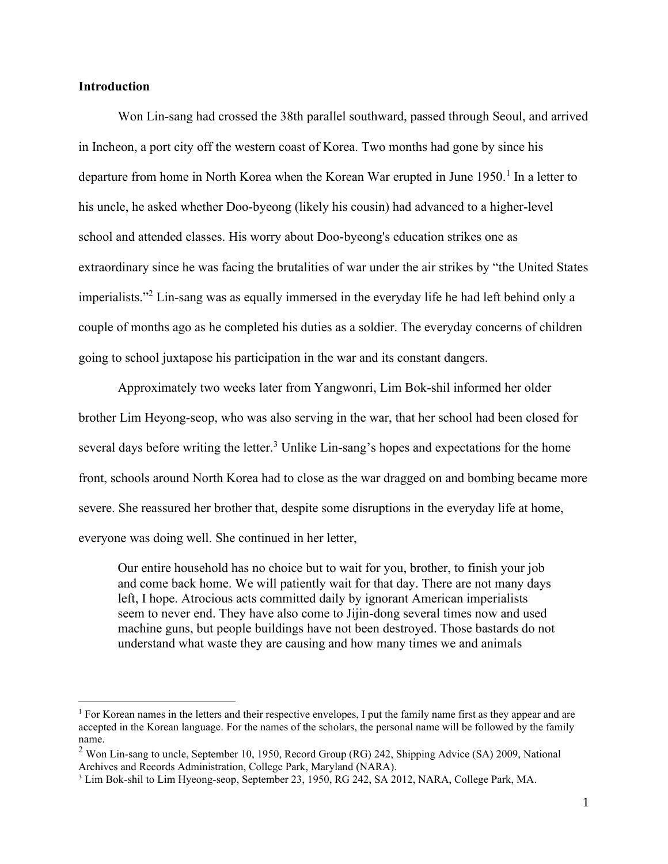#### **Introduction**

Won Lin-sang had crossed the 38th parallel southward, passed through Seoul, and arrived in Incheon, a port city off the western coast of Korea. Two months had gone by since his departure from home in North Korea when the Korean War erupted in June 1950.<sup>1</sup> In a letter to his uncle, he asked whether Doo-byeong (likely his cousin) had advanced to a higher-level school and attended classes. His worry about Doo-byeong's education strikes one as extraordinary since he was facing the brutalities of war under the air strikes by "the United States imperialists."<sup>2</sup> Lin-sang was as equally immersed in the everyday life he had left behind only a couple of months ago as he completed his duties as a soldier. The everyday concerns of children going to school juxtapose his participation in the war and its constant dangers.

Approximately two weeks later from Yangwonri, Lim Bok-shil informed her older brother Lim Heyong-seop, who was also serving in the war, that her school had been closed for several days before writing the letter.<sup>3</sup> Unlike Lin-sang's hopes and expectations for the home front, schools around North Korea had to close as the war dragged on and bombing became more severe. She reassured her brother that, despite some disruptions in the everyday life at home, everyone was doing well. She continued in her letter,

Our entire household has no choice but to wait for you, brother, to finish your job and come back home. We will patiently wait for that day. There are not many days left, I hope. Atrocious acts committed daily by ignorant American imperialists seem to never end. They have also come to Jijin-dong several times now and used machine guns, but people buildings have not been destroyed. Those bastards do not understand what waste they are causing and how many times we and animals

<sup>&</sup>lt;sup>1</sup> For Korean names in the letters and their respective envelopes, I put the family name first as they appear and are accepted in the Korean language. For the names of the scholars, the personal name will be followed by the family name.

 $2$  Won Lin-sang to uncle, September 10, 1950, Record Group (RG) 242, Shipping Advice (SA) 2009, National Archives and Records Administration, College Park, Maryland (NARA).

<sup>3</sup> Lim Bok-shil to Lim Hyeong-seop, September 23, 1950, RG 242, SA 2012, NARA, College Park, MA.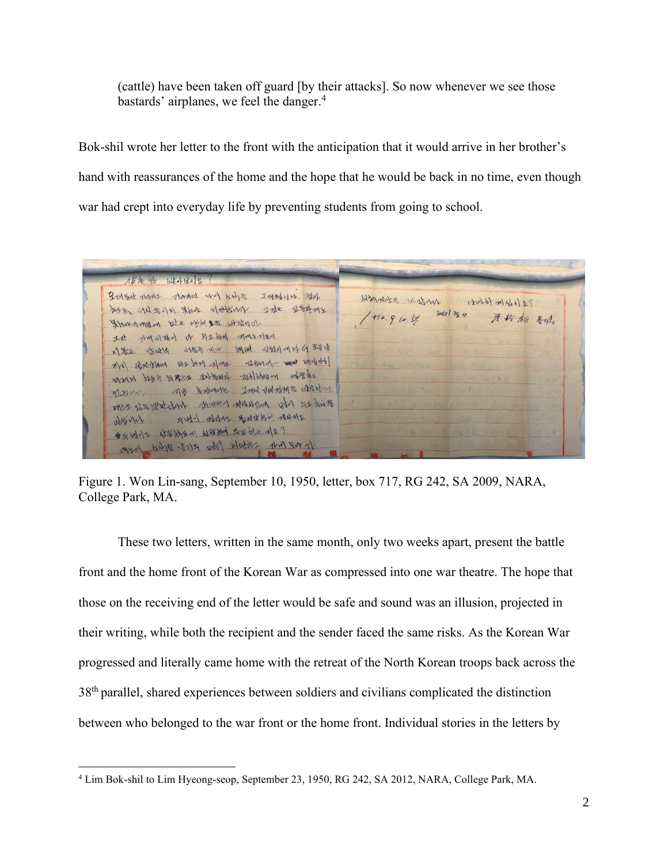(cattle) have been taken off guard [by their attacks]. So now whenever we see those bastards' airplanes, we feel the danger. $4$ 

Bok-shil wrote her letter to the front with the anticipation that it would arrive in her brother's hand with reassurances of the home and the hope that he would be back in no time, even though war had crept into everyday life by preventing students from going to school.

15年4 14h212 Bryand rans norded wo king 2-436014. Bol Wmarker without Drubb) m(461) &? by an and the election 2 the probabile  $950.91012$ 元检相 Sport man see why see stain of It imarked of FISM mutales D) Sel your uses no mud and and a set Mr) Breakant SER and alme saturd mot medital and book are when the avere and the leves Bitters als swords 2md voloding transform Mrs of my wat about missed reaching it's him girld storing godt the MUNE obsorat \* SWOR BEEN NEED CONCE MER MAR SENE pole platter that you are

Figure 1. Won Lin-sang, September 10, 1950, letter, box 717, RG 242, SA 2009, NARA, College Park, MA.

These two letters, written in the same month, only two weeks apart, present the battle front and the home front of the Korean War as compressed into one war theatre. The hope that those on the receiving end of the letter would be safe and sound was an illusion, projected in their writing, while both the recipient and the sender faced the same risks. As the Korean War progressed and literally came home with the retreat of the North Korean troops back across the 38<sup>th</sup> parallel, shared experiences between soldiers and civilians complicated the distinction between who belonged to the war front or the home front. Individual stories in the letters by

<sup>4</sup> Lim Bok-shil to Lim Hyeong-seop, September 23, 1950, RG 242, SA 2012, NARA, College Park, MA.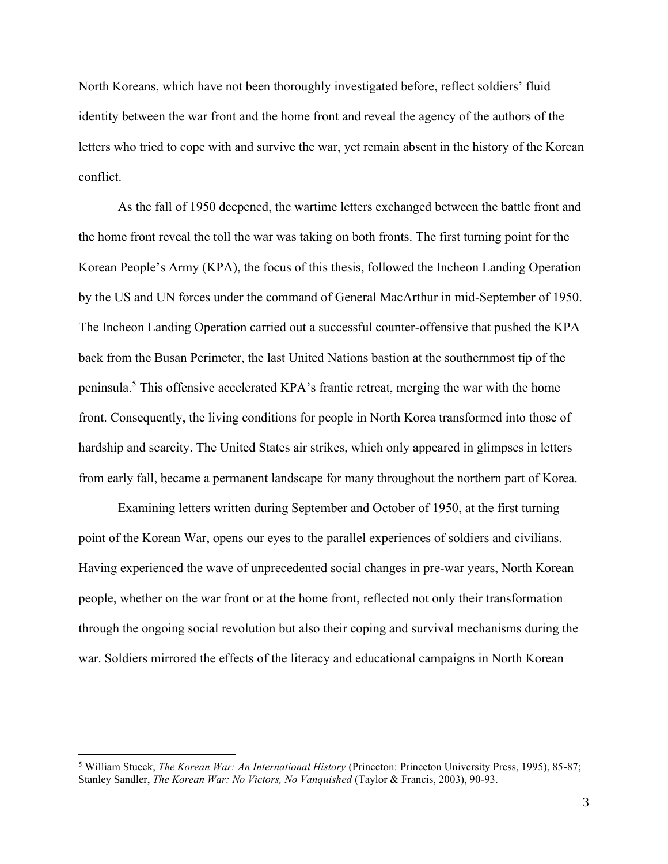North Koreans, which have not been thoroughly investigated before, reflect soldiers' fluid identity between the war front and the home front and reveal the agency of the authors of the letters who tried to cope with and survive the war, yet remain absent in the history of the Korean conflict.

As the fall of 1950 deepened, the wartime letters exchanged between the battle front and the home front reveal the toll the war was taking on both fronts. The first turning point for the Korean People's Army (KPA), the focus of this thesis, followed the Incheon Landing Operation by the US and UN forces under the command of General MacArthur in mid-September of 1950. The Incheon Landing Operation carried out a successful counter-offensive that pushed the KPA back from the Busan Perimeter, the last United Nations bastion at the southernmost tip of the peninsula.<sup>5</sup> This offensive accelerated KPA's frantic retreat, merging the war with the home front. Consequently, the living conditions for people in North Korea transformed into those of hardship and scarcity. The United States air strikes, which only appeared in glimpses in letters from early fall, became a permanent landscape for many throughout the northern part of Korea.

Examining letters written during September and October of 1950, at the first turning point of the Korean War, opens our eyes to the parallel experiences of soldiers and civilians. Having experienced the wave of unprecedented social changes in pre-war years, North Korean people, whether on the war front or at the home front, reflected not only their transformation through the ongoing social revolution but also their coping and survival mechanisms during the war. Soldiers mirrored the effects of the literacy and educational campaigns in North Korean

<sup>5</sup> William Stueck, *The Korean War: An International History* (Princeton: Princeton University Press, 1995), 85-87; Stanley Sandler, *The Korean War: No Victors, No Vanquished* (Taylor & Francis, 2003), 90-93.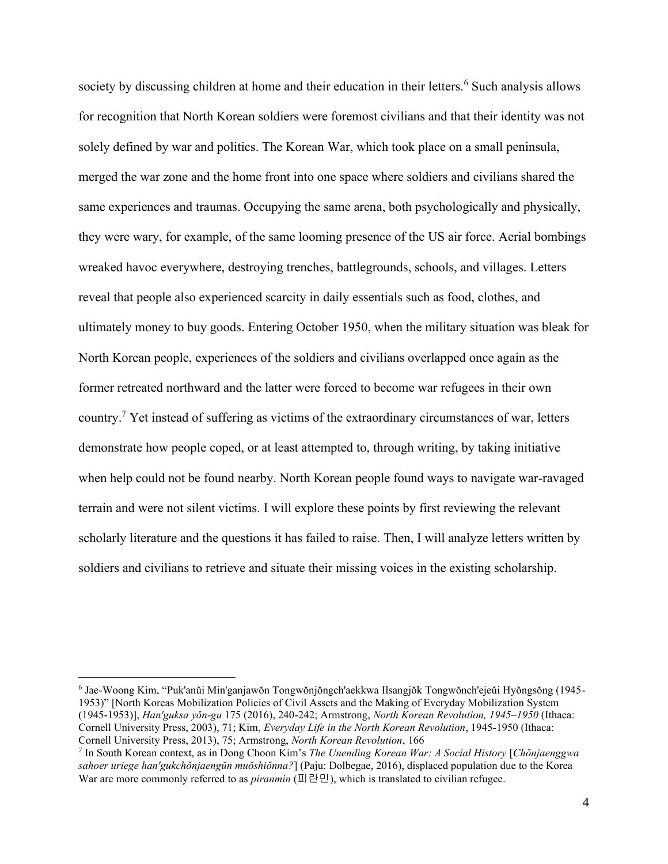society by discussing children at home and their education in their letters.<sup>6</sup> Such analysis allows for recognition that North Korean soldiers were foremost civilians and that their identity was not solely defined by war and politics. The Korean War, which took place on a small peninsula, merged the war zone and the home front into one space where soldiers and civilians shared the same experiences and traumas. Occupying the same arena, both psychologically and physically, they were wary, for example, of the same looming presence of the US air force. Aerial bombings wreaked havoc everywhere, destroying trenches, battlegrounds, schools, and villages. Letters reveal that people also experienced scarcity in daily essentials such as food, clothes, and ultimately money to buy goods. Entering October 1950, when the military situation was bleak for North Korean people, experiences of the soldiers and civilians overlapped once again as the former retreated northward and the latter were forced to become war refugees in their own country.<sup>7</sup> Yet instead of suffering as victims of the extraordinary circumstances of war, letters demonstrate how people coped, or at least attempted to, through writing, by taking initiative when help could not be found nearby. North Korean people found ways to navigate war-ravaged terrain and were not silent victims. I will explore these points by first reviewing the relevant scholarly literature and the questions it has failed to raise. Then, I will analyze letters written by soldiers and civilians to retrieve and situate their missing voices in the existing scholarship.

<sup>6</sup> Jae-Woong Kim, "Puk'anŭi Min'ganjawŏn Tongwŏnjŏngch'aekkwa Ilsangjŏk Tongwŏnch'ejeŭi Hyŏngsŏng (1945- 1953)" [North Koreas Mobilization Policies of Civil Assets and the Making of Everyday Mobilization System (1945-1953)], *Han'guksa yŏn-gu* 175 (2016), 240-242; Armstrong, *North Korean Revolution, 1945–1950* (Ithaca: Cornell University Press, 2003), 71; Kim, *Everyday Life in the North Korean Revolution*, 1945-1950 (Ithaca: Cornell University Press, 2013), 75; Armstrong, *North Korean Revolution*, 166

<sup>7</sup> In South Korean context, as in Dong Choon Kim's *The Unending Korean War: A Social History* [*Chŏnjaenggwa sahoer uriege han'gukchŏnjaengŭn muŏshiŏnna?*] (Paju: Dolbegae, 2016), displaced population due to the Korea War are more commonly referred to as *piranmin* (피란민), which is translated to civilian refugee.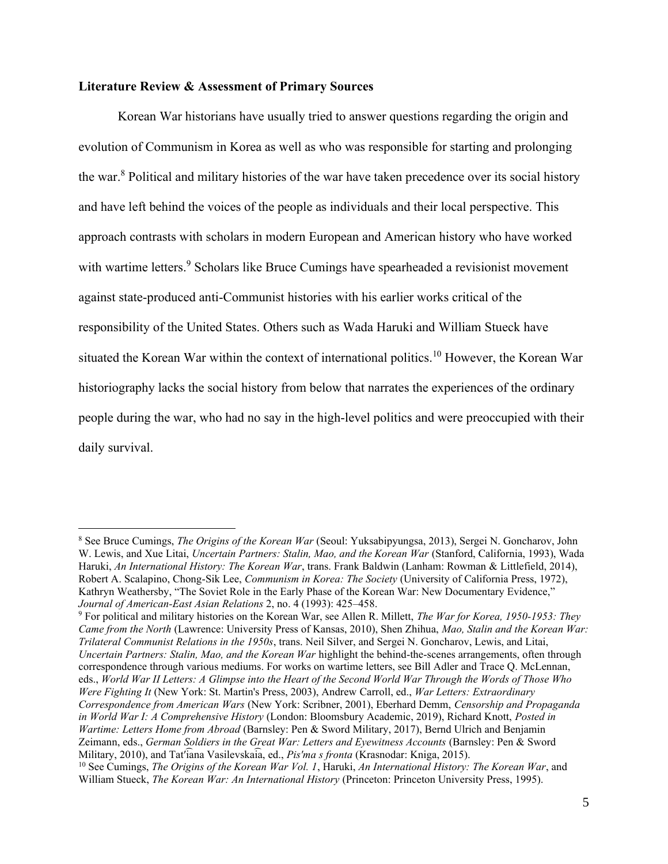#### **Literature Review & Assessment of Primary Sources**

Korean War historians have usually tried to answer questions regarding the origin and evolution of Communism in Korea as well as who was responsible for starting and prolonging the war.<sup>8</sup> Political and military histories of the war have taken precedence over its social history and have left behind the voices of the people as individuals and their local perspective. This approach contrasts with scholars in modern European and American history who have worked with wartime letters.<sup>9</sup> Scholars like Bruce Cumings have spearheaded a revisionist movement against state-produced anti-Communist histories with his earlier works critical of the responsibility of the United States. Others such as Wada Haruki and William Stueck have situated the Korean War within the context of international politics.<sup>10</sup> However, the Korean War historiography lacks the social history from below that narrates the experiences of the ordinary people during the war, who had no say in the high-level politics and were preoccupied with their daily survival.

<sup>8</sup> See Bruce Cumings, *The Origins of the Korean War* (Seoul: Yuksabipyungsa, 2013), Sergei N. Goncharov, John W. Lewis, and Xue Litai, *Uncertain Partners: Stalin, Mao, and the Korean War* (Stanford, California, 1993), Wada Haruki, *An International History: The Korean War*, trans. Frank Baldwin (Lanham: Rowman & Littlefield, 2014), Robert A. Scalapino, Chong-Sik Lee, *Communism in Korea: The Society* (University of California Press, 1972), Kathryn Weathersby, "The Soviet Role in the Early Phase of the Korean War: New Documentary Evidence," *Journal of American-East Asian Relations* 2, no. 4 (1993): 425–458.

<sup>9</sup> For political and military histories on the Korean War, see Allen R. Millett, *The War for Korea, 1950-1953: They Came from the North* (Lawrence: University Press of Kansas, 2010), Shen Zhihua, *Mao, Stalin and the Korean War: Trilateral Communist Relations in the 1950s*, trans. Neil Silver, and Sergei N. Goncharov, Lewis, and Litai, *Uncertain Partners: Stalin, Mao, and the Korean War highlight the behind-the-scenes arrangements, often through* correspondence through various mediums. For works on wartime letters, see Bill Adler and Trace Q. McLennan, eds., *World War II Letters: A Glimpse into the Heart of the Second World War Through the Words of Those Who Were Fighting It* (New York: St. Martin's Press, 2003), Andrew Carroll, ed., *War Letters: Extraordinary Correspondence from American Wars* (New York: Scribner, 2001), Eberhard Demm, *Censorship and Propaganda in World War I: A Comprehensive History* (London: Bloomsbury Academic, 2019), Richard Knott, *Posted in Wartime: Letters Home from Abroad* (Barnsley: Pen & Sword Military, 2017), Bernd Ulrich and Benjamin Zeimann, eds., *German Soldiers in the Great War: Letters and Eyewitness Accounts* (Barnsley: Pen & Sword Military, 2010), and Tatʹ͡iana Vasilevska͡ia, ed., *Pisʹma s fronta* (Krasnodar: Kniga, 2015).

<sup>10</sup> See Cumings, *The Origins of the Korean War Vol. 1*, Haruki, *An International History: The Korean War*, and William Stueck, *The Korean War: An International History* (Princeton: Princeton University Press, 1995).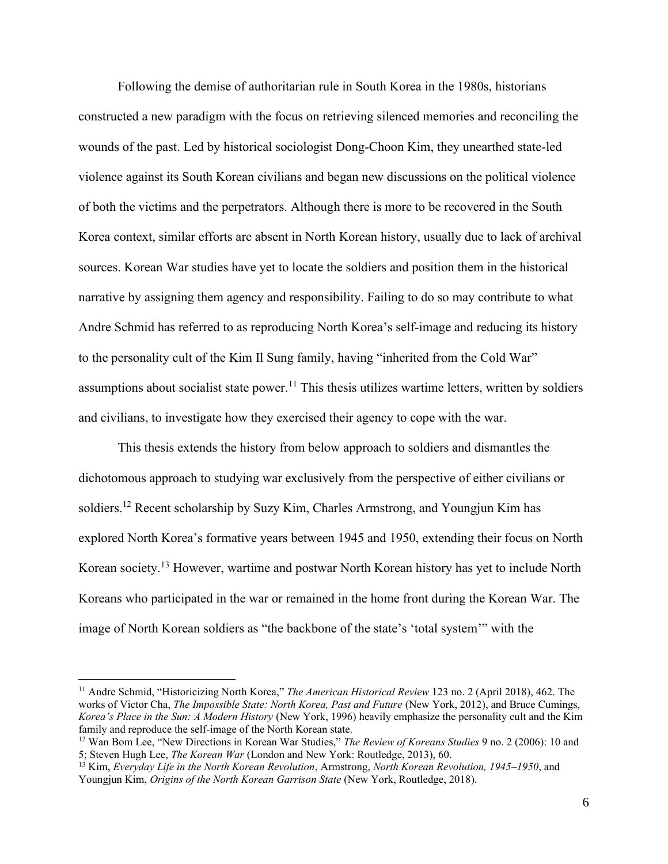Following the demise of authoritarian rule in South Korea in the 1980s, historians constructed a new paradigm with the focus on retrieving silenced memories and reconciling the wounds of the past. Led by historical sociologist Dong-Choon Kim, they unearthed state-led violence against its South Korean civilians and began new discussions on the political violence of both the victims and the perpetrators. Although there is more to be recovered in the South Korea context, similar efforts are absent in North Korean history, usually due to lack of archival sources. Korean War studies have yet to locate the soldiers and position them in the historical narrative by assigning them agency and responsibility. Failing to do so may contribute to what Andre Schmid has referred to as reproducing North Korea's self-image and reducing its history to the personality cult of the Kim Il Sung family, having "inherited from the Cold War" assumptions about socialist state power.<sup>11</sup> This thesis utilizes wartime letters, written by soldiers and civilians, to investigate how they exercised their agency to cope with the war.

This thesis extends the history from below approach to soldiers and dismantles the dichotomous approach to studying war exclusively from the perspective of either civilians or soldiers.<sup>12</sup> Recent scholarship by Suzy Kim, Charles Armstrong, and Youngjun Kim has explored North Korea's formative years between 1945 and 1950, extending their focus on North Korean society.<sup>13</sup> However, wartime and postwar North Korean history has yet to include North Koreans who participated in the war or remained in the home front during the Korean War. The image of North Korean soldiers as "the backbone of the state's 'total system'" with the

<sup>11</sup> Andre Schmid, "Historicizing North Korea," *The American Historical Review* 123 no. 2 (April 2018), 462. The works of Victor Cha, *The Impossible State: North Korea, Past and Future* (New York, 2012), and Bruce Cumings, *Korea's Place in the Sun: A Modern History* (New York, 1996) heavily emphasize the personality cult and the Kim family and reproduce the self-image of the North Korean state.

<sup>12</sup> Wan Bom Lee, "New Directions in Korean War Studies," *The Review of Koreans Studies* 9 no. 2 (2006): 10 and 5; Steven Hugh Lee, *The Korean War* (London and New York: Routledge, 2013), 60.

<sup>13</sup> Kim, *Everyday Life in the North Korean Revolution*, Armstrong, *North Korean Revolution, 1945–1950*, and Youngjun Kim, *Origins of the North Korean Garrison State* (New York, Routledge, 2018).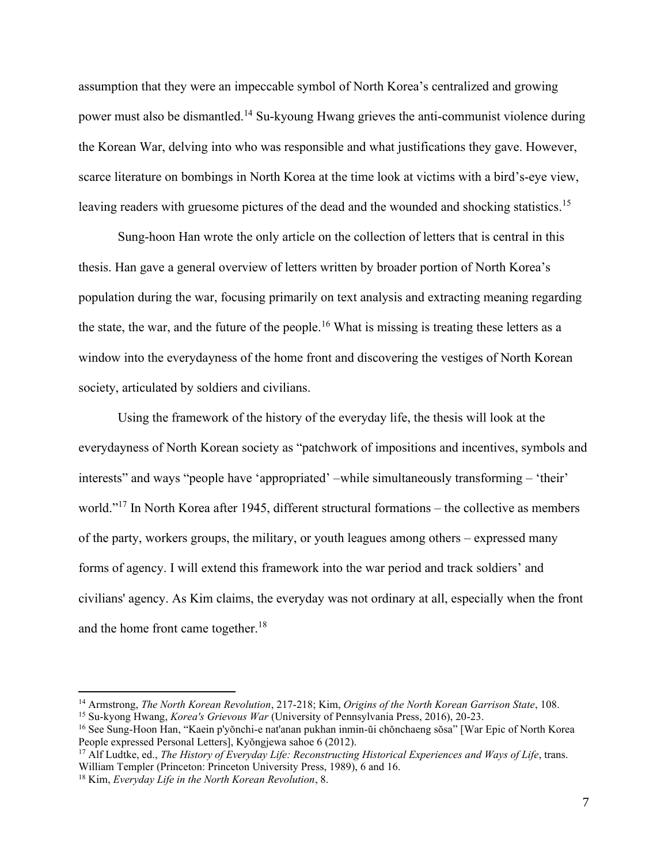assumption that they were an impeccable symbol of North Korea's centralized and growing power must also be dismantled.<sup>14</sup> Su-kyoung Hwang grieves the anti-communist violence during the Korean War, delving into who was responsible and what justifications they gave. However, scarce literature on bombings in North Korea at the time look at victims with a bird's-eye view, leaving readers with gruesome pictures of the dead and the wounded and shocking statistics.<sup>15</sup>

Sung-hoon Han wrote the only article on the collection of letters that is central in this thesis. Han gave a general overview of letters written by broader portion of North Korea's population during the war, focusing primarily on text analysis and extracting meaning regarding the state, the war, and the future of the people.<sup>16</sup> What is missing is treating these letters as a window into the everydayness of the home front and discovering the vestiges of North Korean society, articulated by soldiers and civilians.

Using the framework of the history of the everyday life, the thesis will look at the everydayness of North Korean society as "patchwork of impositions and incentives, symbols and interests" and ways "people have 'appropriated' –while simultaneously transforming – 'their' world."<sup>17</sup> In North Korea after 1945, different structural formations – the collective as members of the party, workers groups, the military, or youth leagues among others – expressed many forms of agency. I will extend this framework into the war period and track soldiers' and civilians' agency. As Kim claims, the everyday was not ordinary at all, especially when the front and the home front came together.<sup>18</sup>

<sup>14</sup> Armstrong, *The North Korean Revolution*, 217-218; Kim, *Origins of the North Korean Garrison State*, 108.

<sup>15</sup> Su-kyong Hwang, *Korea's Grievous War* (University of Pennsylvania Press, 2016), 20-23.

<sup>16</sup> See Sung-Hoon Han, "Kaein p'yŏnchi-e nat'anan pukhan inmin-ŭi chŏnchaeng sŏsa" [War Epic of North Korea People expressed Personal Letters], Kyŏngjewa sahoe 6 (2012).

<sup>17</sup> Alf Ludtke, ed., *The History of Everyday Life: Reconstructing Historical Experiences and Ways of Life*, trans. William Templer (Princeton: Princeton University Press, 1989), 6 and 16.

<sup>18</sup> Kim, *Everyday Life in the North Korean Revolution*, 8.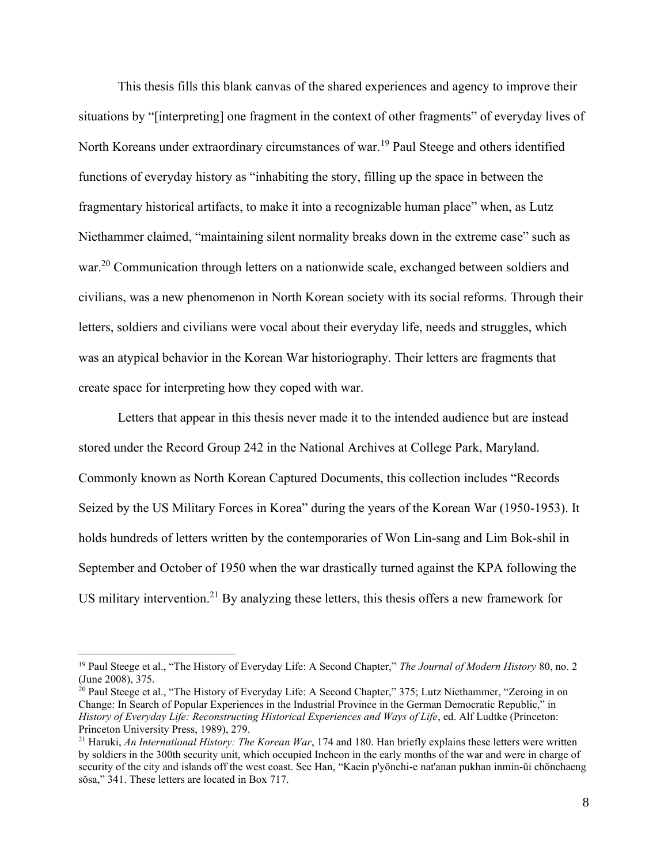This thesis fills this blank canvas of the shared experiences and agency to improve their situations by "[interpreting] one fragment in the context of other fragments" of everyday lives of North Koreans under extraordinary circumstances of war.<sup>19</sup> Paul Steege and others identified functions of everyday history as "inhabiting the story, filling up the space in between the fragmentary historical artifacts, to make it into a recognizable human place" when, as Lutz Niethammer claimed, "maintaining silent normality breaks down in the extreme case" such as war.<sup>20</sup> Communication through letters on a nationwide scale, exchanged between soldiers and civilians, was a new phenomenon in North Korean society with its social reforms. Through their letters, soldiers and civilians were vocal about their everyday life, needs and struggles, which was an atypical behavior in the Korean War historiography. Their letters are fragments that create space for interpreting how they coped with war.

Letters that appear in this thesis never made it to the intended audience but are instead stored under the Record Group 242 in the National Archives at College Park, Maryland. Commonly known as North Korean Captured Documents, this collection includes "Records Seized by the US Military Forces in Korea" during the years of the Korean War (1950-1953). It holds hundreds of letters written by the contemporaries of Won Lin-sang and Lim Bok-shil in September and October of 1950 when the war drastically turned against the KPA following the US military intervention.<sup>21</sup> By analyzing these letters, this thesis offers a new framework for

<sup>&</sup>lt;sup>19</sup> Paul Steege et al., "The History of Everyday Life: A Second Chapter," *The Journal of Modern History* 80, no. 2 (June 2008), 375.

<sup>&</sup>lt;sup>20</sup> Paul Steege et al., "The History of Everyday Life: A Second Chapter," 375; Lutz Niethammer, "Zeroing in on Change: In Search of Popular Experiences in the Industrial Province in the German Democratic Republic," in *History of Everyday Life: Reconstructing Historical Experiences and Ways of Life*, ed. Alf Ludtke (Princeton: Princeton University Press, 1989), 279.

<sup>21</sup> Haruki, *An International History: The Korean War*, 174 and 180. Han briefly explains these letters were written by soldiers in the 300th security unit, which occupied Incheon in the early months of the war and were in charge of security of the city and islands off the west coast. See Han, "Kaein p'yŏnchi-e nat'anan pukhan inmin-ŭi chŏnchaeng sŏsa," 341. These letters are located in Box 717.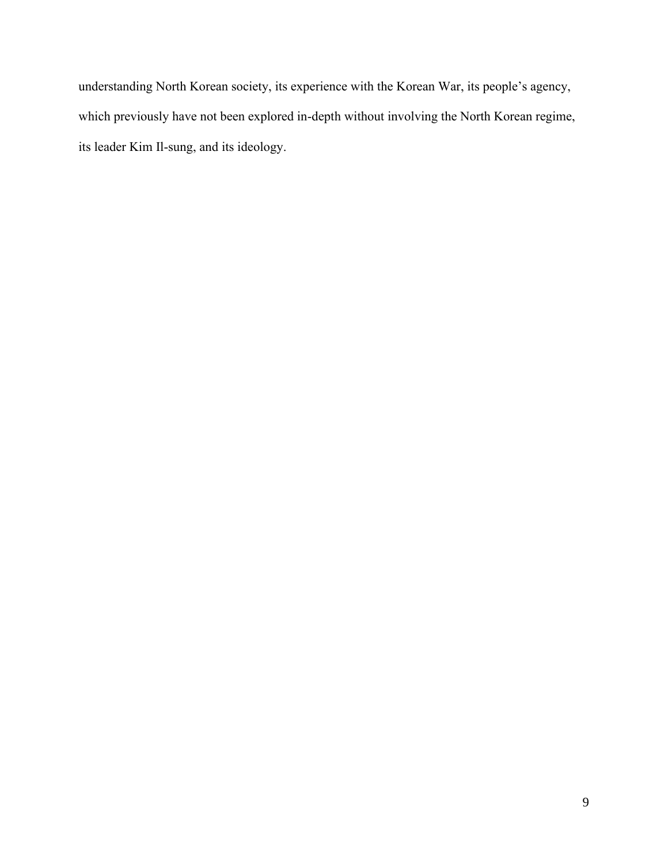understanding North Korean society, its experience with the Korean War, its people's agency, which previously have not been explored in-depth without involving the North Korean regime, its leader Kim Il-sung, and its ideology.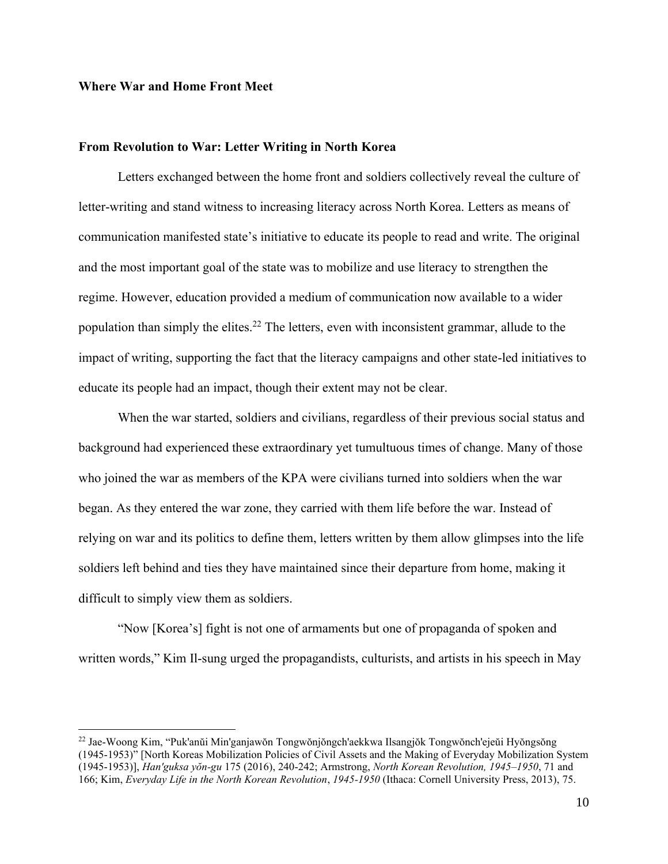#### **Where War and Home Front Meet**

#### **From Revolution to War: Letter Writing in North Korea**

Letters exchanged between the home front and soldiers collectively reveal the culture of letter-writing and stand witness to increasing literacy across North Korea. Letters as means of communication manifested state's initiative to educate its people to read and write. The original and the most important goal of the state was to mobilize and use literacy to strengthen the regime. However, education provided a medium of communication now available to a wider population than simply the elites.<sup>22</sup> The letters, even with inconsistent grammar, allude to the impact of writing, supporting the fact that the literacy campaigns and other state-led initiatives to educate its people had an impact, though their extent may not be clear.

When the war started, soldiers and civilians, regardless of their previous social status and background had experienced these extraordinary yet tumultuous times of change. Many of those who joined the war as members of the KPA were civilians turned into soldiers when the war began. As they entered the war zone, they carried with them life before the war. Instead of relying on war and its politics to define them, letters written by them allow glimpses into the life soldiers left behind and ties they have maintained since their departure from home, making it difficult to simply view them as soldiers.

"Now [Korea's] fight is not one of armaments but one of propaganda of spoken and written words," Kim Il-sung urged the propagandists, culturists, and artists in his speech in May

<sup>22</sup> Jae-Woong Kim, "Puk'anŭi Min'ganjawŏn Tongwŏnjŏngch'aekkwa Ilsangjŏk Tongwŏnch'ejeŭi Hyŏngsŏng (1945-1953)" [North Koreas Mobilization Policies of Civil Assets and the Making of Everyday Mobilization System (1945-1953)], *Han'guksa yŏn-gu* 175 (2016), 240-242; Armstrong, *North Korean Revolution, 1945–1950*, 71 and 166; Kim, *Everyday Life in the North Korean Revolution*, *1945-1950* (Ithaca: Cornell University Press, 2013), 75.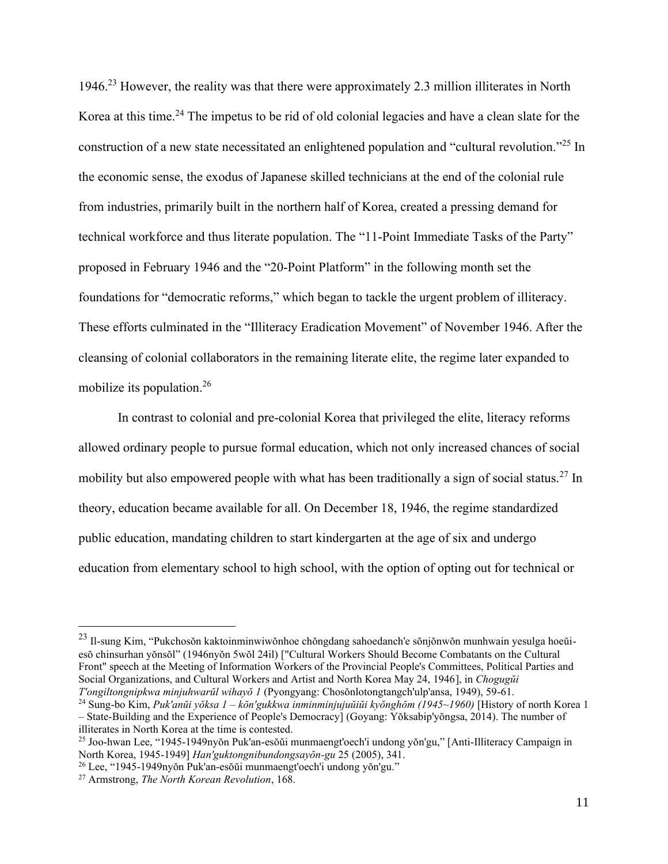1946.<sup>23</sup> However, the reality was that there were approximately 2.3 million illiterates in North Korea at this time.<sup>24</sup> The impetus to be rid of old colonial legacies and have a clean slate for the construction of a new state necessitated an enlightened population and "cultural revolution."<sup>25</sup> In the economic sense, the exodus of Japanese skilled technicians at the end of the colonial rule from industries, primarily built in the northern half of Korea, created a pressing demand for technical workforce and thus literate population. The "11-Point Immediate Tasks of the Party" proposed in February 1946 and the "20-Point Platform" in the following month set the foundations for "democratic reforms," which began to tackle the urgent problem of illiteracy. These efforts culminated in the "Illiteracy Eradication Movement" of November 1946. After the cleansing of colonial collaborators in the remaining literate elite, the regime later expanded to mobilize its population.<sup>26</sup>

In contrast to colonial and pre-colonial Korea that privileged the elite, literacy reforms allowed ordinary people to pursue formal education, which not only increased chances of social mobility but also empowered people with what has been traditionally a sign of social status.<sup>27</sup> In theory, education became available for all. On December 18, 1946, the regime standardized public education, mandating children to start kindergarten at the age of six and undergo education from elementary school to high school, with the option of opting out for technical or

<sup>23</sup> Il-sung Kim, "Pukchosŏn kaktoinminwiwŏnhoe chŏngdang sahoedanch'e sŏnjŏnwŏn munhwain yesulga hoeŭiesŏ chinsurhan yŏnsŏl" (1946nyŏn 5wŏl 24il) ["Cultural Workers Should Become Combatants on the Cultural Front" speech at the Meeting of Information Workers of the Provincial People's Committees, Political Parties and Social Organizations, and Cultural Workers and Artist and North Korea May 24, 1946], in *Chogugŭi T'ongiltongnipkwa minjuhwarŭl wihayŏ 1* (Pyongyang: Chosŏnlotongtangch'ulp'ansa, 1949), 59-61.

<sup>24</sup> Sung-bo Kim, *Puk'anŭi yŏksa 1 – kŏn'gukkwa inminminjujuŭiŭi kyŏnghŏm (1945~1960)* [History of north Korea 1 – State-Building and the Experience of People's Democracy] (Goyang: Yŏksabip'yŏngsa, 2014). The number of illiterates in North Korea at the time is contested.

<sup>25</sup> Joo-hwan Lee, "1945-1949nyŏn Puk'an-esŏŭi munmaengt'oech'i undong yŏn'gu," [Anti-Illiteracy Campaign in North Korea, 1945-1949] *Han'guktongnibundongsayŏn-gu* 25 (2005), 341.

<sup>26</sup> Lee, "1945-1949nyŏn Puk'an-esŏŭi munmaengt'oech'i undong yŏn'gu."

<sup>27</sup> Armstrong, *The North Korean Revolution*, 168.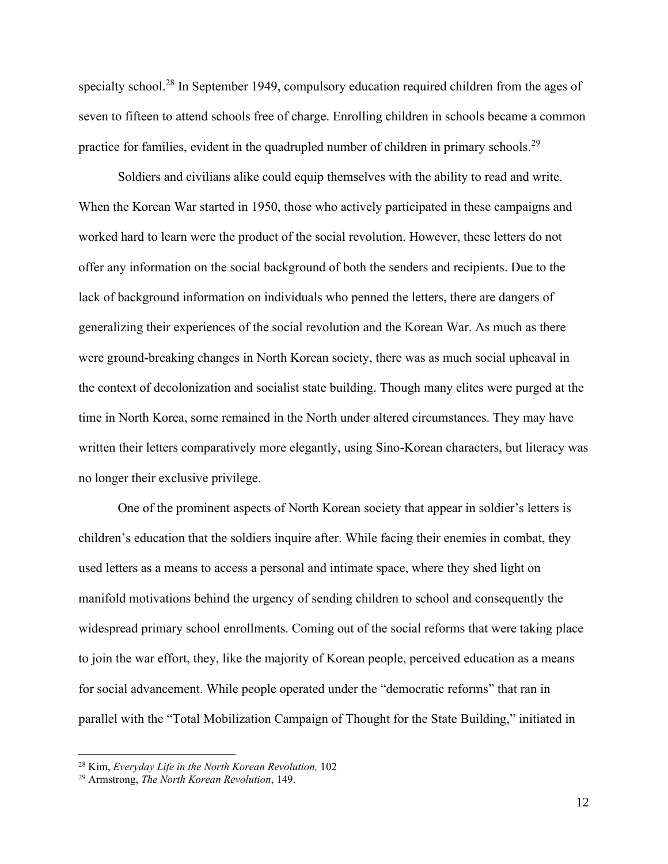specialty school.<sup>28</sup> In September 1949, compulsory education required children from the ages of seven to fifteen to attend schools free of charge. Enrolling children in schools became a common practice for families, evident in the quadrupled number of children in primary schools.<sup>29</sup>

Soldiers and civilians alike could equip themselves with the ability to read and write. When the Korean War started in 1950, those who actively participated in these campaigns and worked hard to learn were the product of the social revolution. However, these letters do not offer any information on the social background of both the senders and recipients. Due to the lack of background information on individuals who penned the letters, there are dangers of generalizing their experiences of the social revolution and the Korean War. As much as there were ground-breaking changes in North Korean society, there was as much social upheaval in the context of decolonization and socialist state building. Though many elites were purged at the time in North Korea, some remained in the North under altered circumstances. They may have written their letters comparatively more elegantly, using Sino-Korean characters, but literacy was no longer their exclusive privilege.

One of the prominent aspects of North Korean society that appear in soldier's letters is children's education that the soldiers inquire after. While facing their enemies in combat, they used letters as a means to access a personal and intimate space, where they shed light on manifold motivations behind the urgency of sending children to school and consequently the widespread primary school enrollments. Coming out of the social reforms that were taking place to join the war effort, they, like the majority of Korean people, perceived education as a means for social advancement. While people operated under the "democratic reforms" that ran in parallel with the "Total Mobilization Campaign of Thought for the State Building," initiated in

<sup>28</sup> Kim, *Everyday Life in the North Korean Revolution,* 102

<sup>29</sup> Armstrong, *The North Korean Revolution*, 149.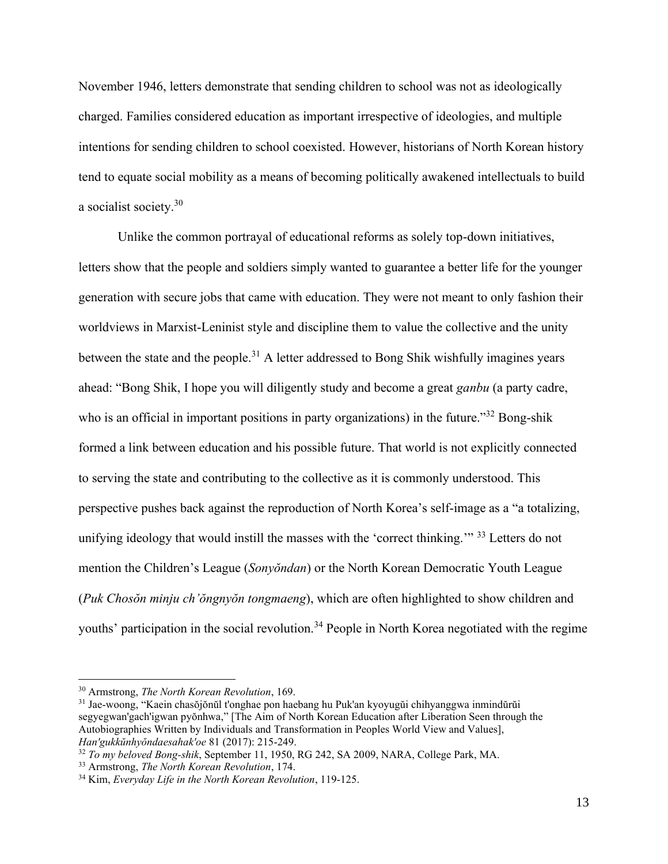November 1946, letters demonstrate that sending children to school was not as ideologically charged. Families considered education as important irrespective of ideologies, and multiple intentions for sending children to school coexisted. However, historians of North Korean history tend to equate social mobility as a means of becoming politically awakened intellectuals to build a socialist society.<sup>30</sup>

Unlike the common portrayal of educational reforms as solely top-down initiatives, letters show that the people and soldiers simply wanted to guarantee a better life for the younger generation with secure jobs that came with education. They were not meant to only fashion their worldviews in Marxist-Leninist style and discipline them to value the collective and the unity between the state and the people.<sup>31</sup> A letter addressed to Bong Shik wishfully imagines years ahead: "Bong Shik, I hope you will diligently study and become a great *ganbu* (a party cadre, who is an official in important positions in party organizations) in the future."<sup>32</sup> Bong-shik formed a link between education and his possible future. That world is not explicitly connected to serving the state and contributing to the collective as it is commonly understood. This perspective pushes back against the reproduction of North Korea's self-image as a "a totalizing, unifying ideology that would instill the masses with the 'correct thinking.'" <sup>33</sup> Letters do not mention the Children's League (*Sonyŏndan*) or the North Korean Democratic Youth League (*Puk Chosŏn minju ch'ŏngnyŏn tongmaeng*), which are often highlighted to show children and youths' participation in the social revolution.<sup>34</sup> People in North Korea negotiated with the regime

<sup>32</sup> *To my beloved Bong-shik*, September 11, 1950, RG 242, SA 2009, NARA, College Park, MA.

<sup>30</sup> Armstrong, *The North Korean Revolution*, 169.

<sup>31</sup> Jae-woong, "Kaein chasŏjŏnŭl t'onghae pon haebang hu Puk'an kyoyugŭi chihyanggwa inmindŭrŭi segyegwan'gach'igwan pyŏnhwa," [The Aim of North Korean Education after Liberation Seen through the Autobiographies Written by Individuals and Transformation in Peoples World View and Values], *Han'gukkŭnhyŏndaesahak'oe* 81 (2017): 215-249.

<sup>33</sup> Armstrong, *The North Korean Revolution*, 174.

<sup>34</sup> Kim, *Everyday Life in the North Korean Revolution*, 119-125.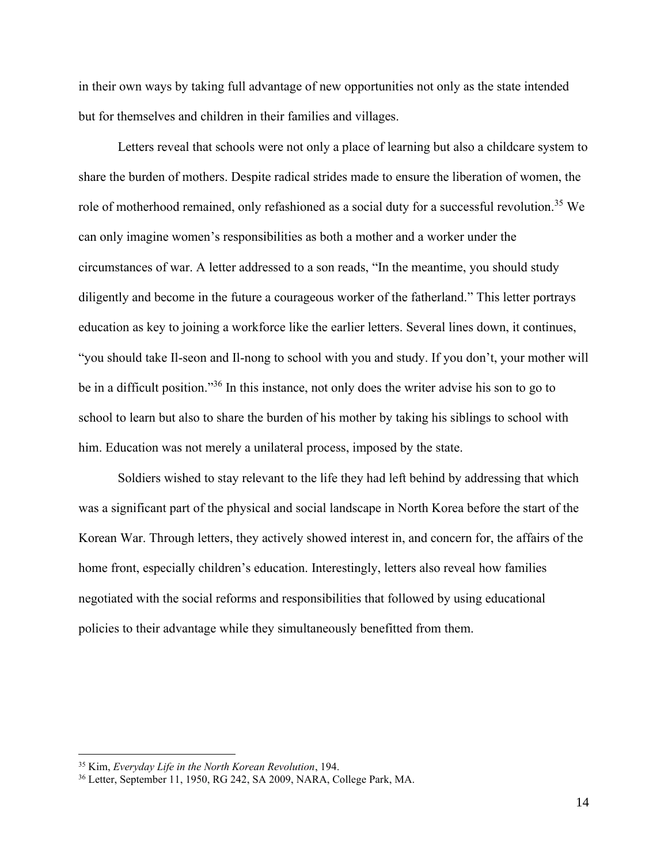in their own ways by taking full advantage of new opportunities not only as the state intended but for themselves and children in their families and villages.

Letters reveal that schools were not only a place of learning but also a childcare system to share the burden of mothers. Despite radical strides made to ensure the liberation of women, the role of motherhood remained, only refashioned as a social duty for a successful revolution.<sup>35</sup> We can only imagine women's responsibilities as both a mother and a worker under the circumstances of war. A letter addressed to a son reads, "In the meantime, you should study diligently and become in the future a courageous worker of the fatherland." This letter portrays education as key to joining a workforce like the earlier letters. Several lines down, it continues, "you should take Il-seon and Il-nong to school with you and study. If you don't, your mother will be in a difficult position."<sup>36</sup> In this instance, not only does the writer advise his son to go to school to learn but also to share the burden of his mother by taking his siblings to school with him. Education was not merely a unilateral process, imposed by the state.

Soldiers wished to stay relevant to the life they had left behind by addressing that which was a significant part of the physical and social landscape in North Korea before the start of the Korean War. Through letters, they actively showed interest in, and concern for, the affairs of the home front, especially children's education. Interestingly, letters also reveal how families negotiated with the social reforms and responsibilities that followed by using educational policies to their advantage while they simultaneously benefitted from them.

<sup>35</sup> Kim, *Everyday Life in the North Korean Revolution*, 194.

<sup>36</sup> Letter, September 11, 1950, RG 242, SA 2009, NARA, College Park, MA.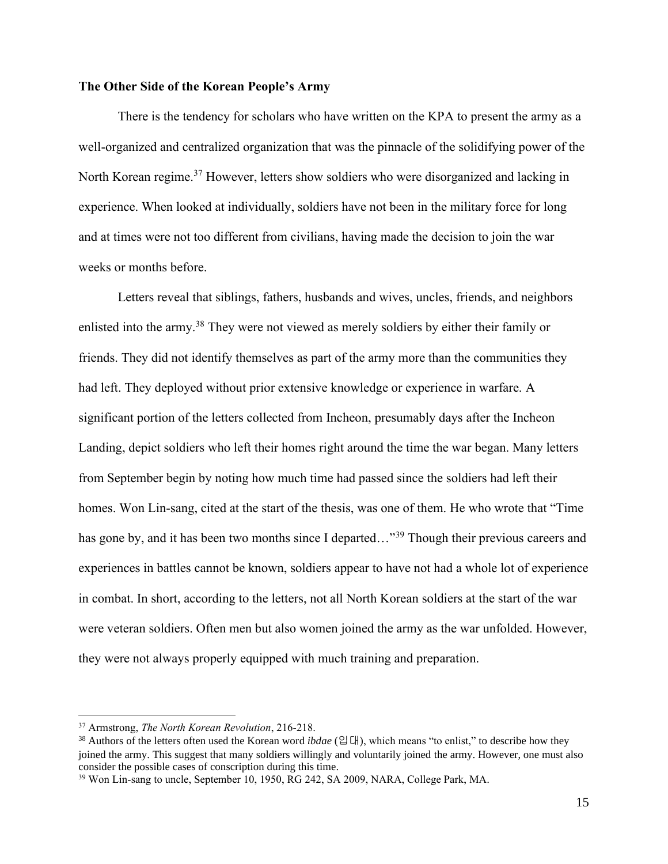#### **The Other Side of the Korean People's Army**

There is the tendency for scholars who have written on the KPA to present the army as a well-organized and centralized organization that was the pinnacle of the solidifying power of the North Korean regime.<sup>37</sup> However, letters show soldiers who were disorganized and lacking in experience. When looked at individually, soldiers have not been in the military force for long and at times were not too different from civilians, having made the decision to join the war weeks or months before.

Letters reveal that siblings, fathers, husbands and wives, uncles, friends, and neighbors enlisted into the army.<sup>38</sup> They were not viewed as merely soldiers by either their family or friends. They did not identify themselves as part of the army more than the communities they had left. They deployed without prior extensive knowledge or experience in warfare. A significant portion of the letters collected from Incheon, presumably days after the Incheon Landing, depict soldiers who left their homes right around the time the war began. Many letters from September begin by noting how much time had passed since the soldiers had left their homes. Won Lin-sang, cited at the start of the thesis, was one of them. He who wrote that "Time has gone by, and it has been two months since I departed..."<sup>39</sup> Though their previous careers and experiences in battles cannot be known, soldiers appear to have not had a whole lot of experience in combat. In short, according to the letters, not all North Korean soldiers at the start of the war were veteran soldiers. Often men but also women joined the army as the war unfolded. However, they were not always properly equipped with much training and preparation.

<sup>37</sup> Armstrong, *The North Korean Revolution*, 216-218.

<sup>38</sup> Authors of the letters often used the Korean word *ibdae* (입대), which means "to enlist," to describe how they joined the army. This suggest that many soldiers willingly and voluntarily joined the army. However, one must also consider the possible cases of conscription during this time.

<sup>&</sup>lt;sup>39</sup> Won Lin-sang to uncle, September 10, 1950, RG 242, SA 2009, NARA, College Park, MA.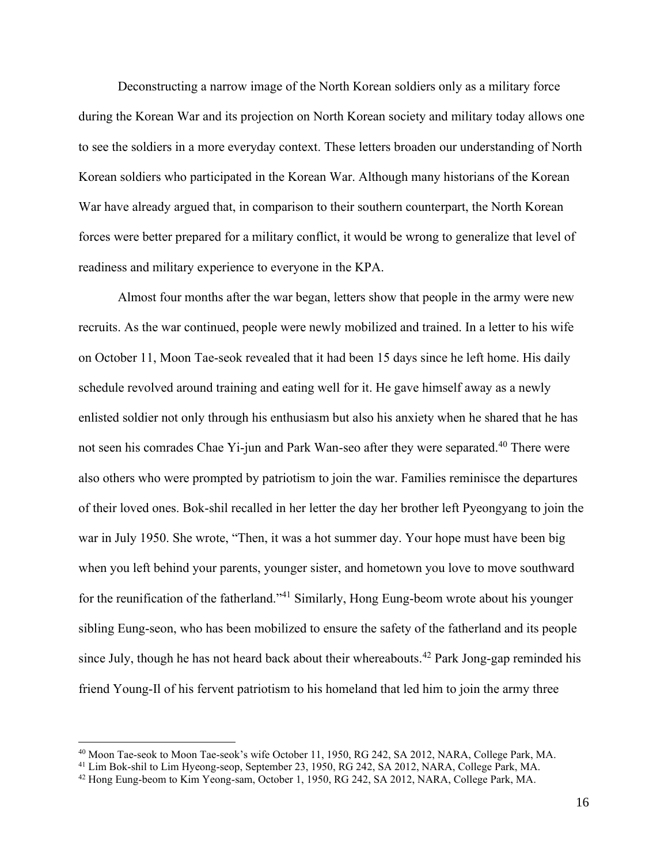Deconstructing a narrow image of the North Korean soldiers only as a military force during the Korean War and its projection on North Korean society and military today allows one to see the soldiers in a more everyday context. These letters broaden our understanding of North Korean soldiers who participated in the Korean War. Although many historians of the Korean War have already argued that, in comparison to their southern counterpart, the North Korean forces were better prepared for a military conflict, it would be wrong to generalize that level of readiness and military experience to everyone in the KPA.

Almost four months after the war began, letters show that people in the army were new recruits. As the war continued, people were newly mobilized and trained. In a letter to his wife on October 11, Moon Tae-seok revealed that it had been 15 days since he left home. His daily schedule revolved around training and eating well for it. He gave himself away as a newly enlisted soldier not only through his enthusiasm but also his anxiety when he shared that he has not seen his comrades Chae Yi-jun and Park Wan-seo after they were separated.<sup>40</sup> There were also others who were prompted by patriotism to join the war. Families reminisce the departures of their loved ones. Bok-shil recalled in her letter the day her brother left Pyeongyang to join the war in July 1950. She wrote, "Then, it was a hot summer day. Your hope must have been big when you left behind your parents, younger sister, and hometown you love to move southward for the reunification of the fatherland."<sup>41</sup> Similarly, Hong Eung-beom wrote about his younger sibling Eung-seon, who has been mobilized to ensure the safety of the fatherland and its people since July, though he has not heard back about their whereabouts.<sup>42</sup> Park Jong-gap reminded his friend Young-Il of his fervent patriotism to his homeland that led him to join the army three

<sup>40</sup> Moon Tae-seok to Moon Tae-seok's wife October 11, 1950, RG 242, SA 2012, NARA, College Park, MA.

<sup>&</sup>lt;sup>41</sup> Lim Bok-shil to Lim Hyeong-seop, September 23, 1950, RG 242, SA 2012, NARA, College Park, MA.

<sup>42</sup> Hong Eung-beom to Kim Yeong-sam, October 1, 1950, RG 242, SA 2012, NARA, College Park, MA.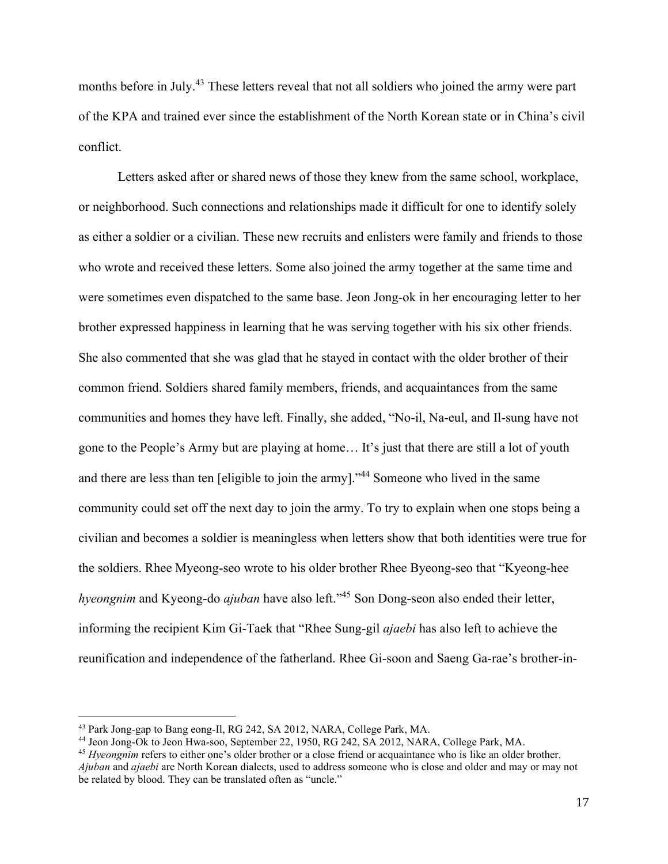months before in July.<sup>43</sup> These letters reveal that not all soldiers who joined the army were part of the KPA and trained ever since the establishment of the North Korean state or in China's civil conflict.

Letters asked after or shared news of those they knew from the same school, workplace, or neighborhood. Such connections and relationships made it difficult for one to identify solely as either a soldier or a civilian. These new recruits and enlisters were family and friends to those who wrote and received these letters. Some also joined the army together at the same time and were sometimes even dispatched to the same base. Jeon Jong-ok in her encouraging letter to her brother expressed happiness in learning that he was serving together with his six other friends. She also commented that she was glad that he stayed in contact with the older brother of their common friend. Soldiers shared family members, friends, and acquaintances from the same communities and homes they have left. Finally, she added, "No-il, Na-eul, and Il-sung have not gone to the People's Army but are playing at home… It's just that there are still a lot of youth and there are less than ten [eligible to join the army]."<sup>44</sup> Someone who lived in the same community could set off the next day to join the army. To try to explain when one stops being a civilian and becomes a soldier is meaningless when letters show that both identities were true for the soldiers. Rhee Myeong-seo wrote to his older brother Rhee Byeong-seo that "Kyeong-hee *hyeongnim* and Kyeong-do *ajuban* have also left."<sup>45</sup> Son Dong-seon also ended their letter, informing the recipient Kim Gi-Taek that "Rhee Sung-gil *ajaebi* has also left to achieve the reunification and independence of the fatherland. Rhee Gi-soon and Saeng Ga-rae's brother-in-

<sup>43</sup> Park Jong-gap to Bang eong-Il, RG 242, SA 2012, NARA, College Park, MA.

<sup>44</sup> Jeon Jong-Ok to Jeon Hwa-soo, September 22, 1950, RG 242, SA 2012, NARA, College Park, MA.

<sup>45</sup> *Hyeongnim* refers to either one's older brother or a close friend or acquaintance who is like an older brother. *Ajuban* and *ajaebi* are North Korean dialects, used to address someone who is close and older and may or may not be related by blood. They can be translated often as "uncle."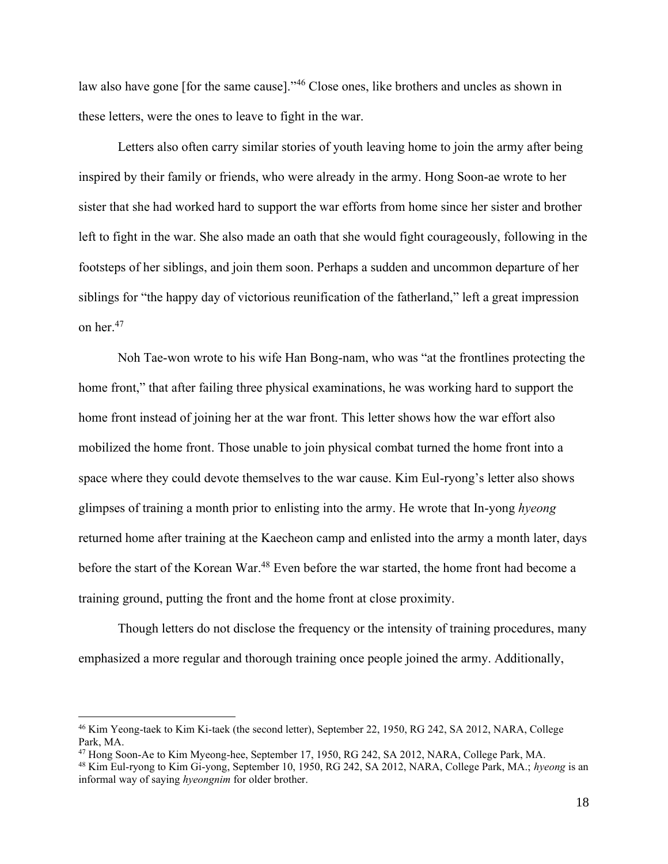law also have gone [for the same cause]."<sup>46</sup> Close ones, like brothers and uncles as shown in these letters, were the ones to leave to fight in the war.

Letters also often carry similar stories of youth leaving home to join the army after being inspired by their family or friends, who were already in the army. Hong Soon-ae wrote to her sister that she had worked hard to support the war efforts from home since her sister and brother left to fight in the war. She also made an oath that she would fight courageously, following in the footsteps of her siblings, and join them soon. Perhaps a sudden and uncommon departure of her siblings for "the happy day of victorious reunification of the fatherland," left a great impression on her.<sup>47</sup>

Noh Tae-won wrote to his wife Han Bong-nam, who was "at the frontlines protecting the home front," that after failing three physical examinations, he was working hard to support the home front instead of joining her at the war front. This letter shows how the war effort also mobilized the home front. Those unable to join physical combat turned the home front into a space where they could devote themselves to the war cause. Kim Eul-ryong's letter also shows glimpses of training a month prior to enlisting into the army. He wrote that In-yong *hyeong*  returned home after training at the Kaecheon camp and enlisted into the army a month later, days before the start of the Korean War.<sup>48</sup> Even before the war started, the home front had become a training ground, putting the front and the home front at close proximity.

Though letters do not disclose the frequency or the intensity of training procedures, many emphasized a more regular and thorough training once people joined the army. Additionally,

<sup>46</sup> Kim Yeong-taek to Kim Ki-taek (the second letter), September 22, 1950, RG 242, SA 2012, NARA, College Park, MA.

<sup>47</sup> Hong Soon-Ae to Kim Myeong-hee, September 17, 1950, RG 242, SA 2012, NARA, College Park, MA.

<sup>48</sup> Kim Eul-ryong to Kim Gi-yong, September 10, 1950, RG 242, SA 2012, NARA, College Park, MA.; *hyeong* is an informal way of saying *hyeongnim* for older brother.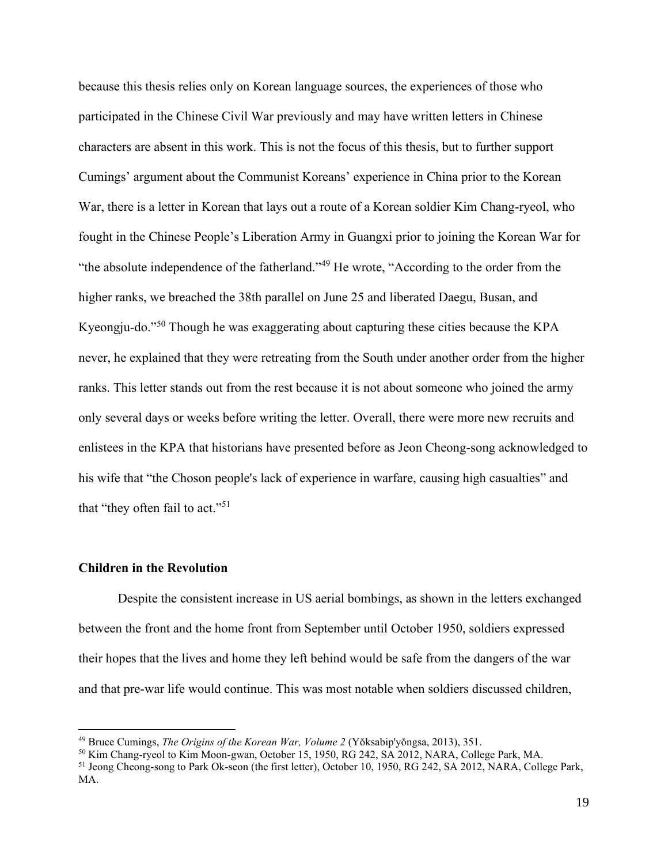because this thesis relies only on Korean language sources, the experiences of those who participated in the Chinese Civil War previously and may have written letters in Chinese characters are absent in this work. This is not the focus of this thesis, but to further support Cumings' argument about the Communist Koreans' experience in China prior to the Korean War, there is a letter in Korean that lays out a route of a Korean soldier Kim Chang-ryeol, who fought in the Chinese People's Liberation Army in Guangxi prior to joining the Korean War for "the absolute independence of the fatherland."<sup>49</sup> He wrote, "According to the order from the higher ranks, we breached the 38th parallel on June 25 and liberated Daegu, Busan, and Kyeongju-do."<sup>50</sup> Though he was exaggerating about capturing these cities because the KPA never, he explained that they were retreating from the South under another order from the higher ranks. This letter stands out from the rest because it is not about someone who joined the army only several days or weeks before writing the letter. Overall, there were more new recruits and enlistees in the KPA that historians have presented before as Jeon Cheong-song acknowledged to his wife that "the Choson people's lack of experience in warfare, causing high casualties" and that "they often fail to act."<sup>51</sup>

#### **Children in the Revolution**

Despite the consistent increase in US aerial bombings, as shown in the letters exchanged between the front and the home front from September until October 1950, soldiers expressed their hopes that the lives and home they left behind would be safe from the dangers of the war and that pre-war life would continue. This was most notable when soldiers discussed children,

<sup>49</sup> Bruce Cumings, *The Origins of the Korean War, Volume 2* (Yŏksabip'yŏngsa, 2013), 351.

<sup>50</sup> Kim Chang-ryeol to Kim Moon-gwan, October 15, 1950, RG 242, SA 2012, NARA, College Park, MA.

<sup>&</sup>lt;sup>51</sup> Jeong Cheong-song to Park Ok-seon (the first letter), October 10, 1950, RG 242, SA 2012, NARA, College Park, MA.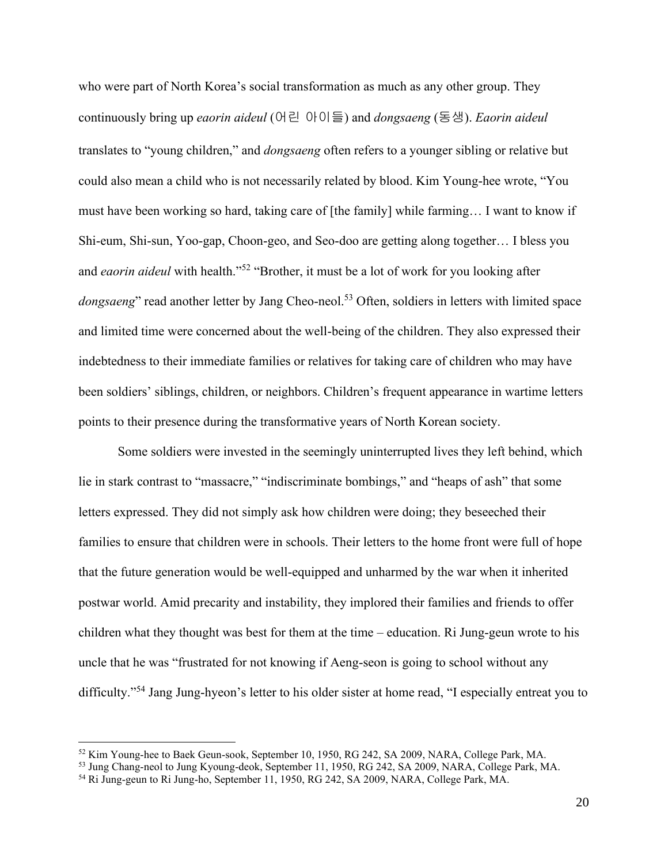who were part of North Korea's social transformation as much as any other group. They continuously bring up *eaorin aideul* (어린 아이들) and *dongsaeng* (동생). *Eaorin aideul* translates to "young children," and *dongsaeng* often refers to a younger sibling or relative but could also mean a child who is not necessarily related by blood. Kim Young-hee wrote, "You must have been working so hard, taking care of [the family] while farming… I want to know if Shi-eum, Shi-sun, Yoo-gap, Choon-geo, and Seo-doo are getting along together… I bless you and *eaorin aideul* with health."<sup>52</sup> "Brother, it must be a lot of work for you looking after *dongsaeng*" read another letter by Jang Cheo-neol.<sup>53</sup> Often, soldiers in letters with limited space and limited time were concerned about the well-being of the children. They also expressed their indebtedness to their immediate families or relatives for taking care of children who may have been soldiers' siblings, children, or neighbors. Children's frequent appearance in wartime letters points to their presence during the transformative years of North Korean society.

Some soldiers were invested in the seemingly uninterrupted lives they left behind, which lie in stark contrast to "massacre," "indiscriminate bombings," and "heaps of ash" that some letters expressed. They did not simply ask how children were doing; they beseeched their families to ensure that children were in schools. Their letters to the home front were full of hope that the future generation would be well-equipped and unharmed by the war when it inherited postwar world. Amid precarity and instability, they implored their families and friends to offer children what they thought was best for them at the time – education. Ri Jung-geun wrote to his uncle that he was "frustrated for not knowing if Aeng-seon is going to school without any difficulty."<sup>54</sup> Jang Jung-hyeon's letter to his older sister at home read, "I especially entreat you to

<sup>52</sup> Kim Young-hee to Baek Geun-sook, September 10, 1950, RG 242, SA 2009, NARA, College Park, MA.

<sup>53</sup> Jung Chang-neol to Jung Kyoung-deok, September 11, 1950, RG 242, SA 2009, NARA, College Park, MA.

<sup>54</sup> Ri Jung-geun to Ri Jung-ho, September 11, 1950, RG 242, SA 2009, NARA, College Park, MA.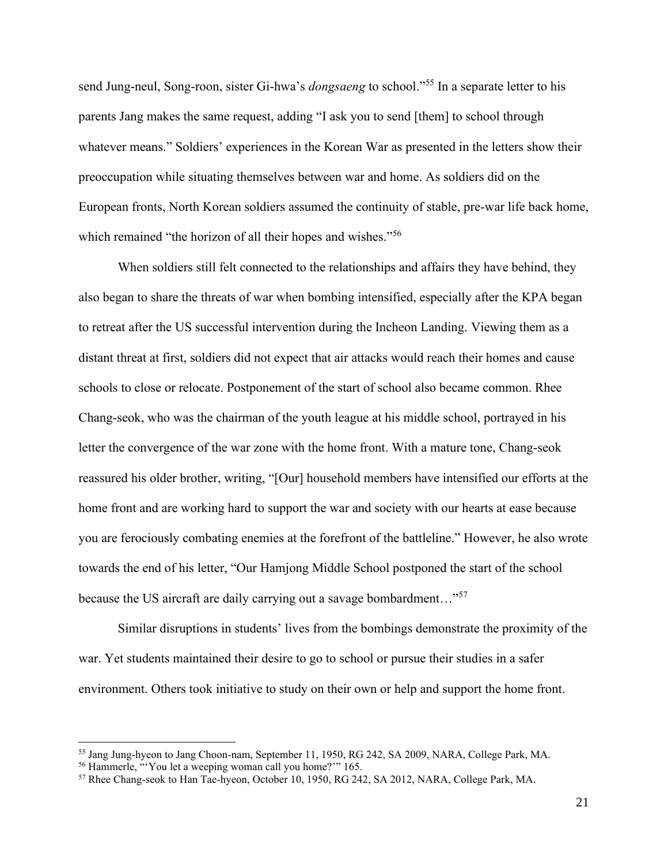send Jung-neul, Song-roon, sister Gi-hwa's *dongsaeng* to school." <sup>55</sup> In a separate letter to his parents Jang makes the same request, adding "I ask you to send [them] to school through whatever means." Soldiers' experiences in the Korean War as presented in the letters show their preoccupation while situating themselves between war and home. As soldiers did on the European fronts, North Korean soldiers assumed the continuity of stable, pre-war life back home, which remained "the horizon of all their hopes and wishes."<sup>56</sup>

When soldiers still felt connected to the relationships and affairs they have behind, they also began to share the threats of war when bombing intensified, especially after the KPA began to retreat after the US successful intervention during the Incheon Landing. Viewing them as a distant threat at first, soldiers did not expect that air attacks would reach their homes and cause schools to close or relocate. Postponement of the start of school also became common. Rhee Chang-seok, who was the chairman of the youth league at his middle school, portrayed in his letter the convergence of the war zone with the home front. With a mature tone, Chang-seok reassured his older brother, writing, "[Our] household members have intensified our efforts at the home front and are working hard to support the war and society with our hearts at ease because you are ferociously combating enemies at the forefront of the battleline." However, he also wrote towards the end of his letter, "Our Hamjong Middle School postponed the start of the school because the US aircraft are daily carrying out a savage bombardment..."<sup>57</sup>

Similar disruptions in students' lives from the bombings demonstrate the proximity of the war. Yet students maintained their desire to go to school or pursue their studies in a safer environment. Others took initiative to study on their own or help and support the home front.

<sup>55</sup> Jang Jung-hyeon to Jang Choon-nam, September 11, 1950, RG 242, SA 2009, NARA, College Park, MA.

<sup>56</sup> Hammerle, "'You let a weeping woman call you home?'" 165.

<sup>57</sup> Rhee Chang-seok to Han Tae-hyeon, October 10, 1950, RG 242, SA 2012, NARA, College Park, MA.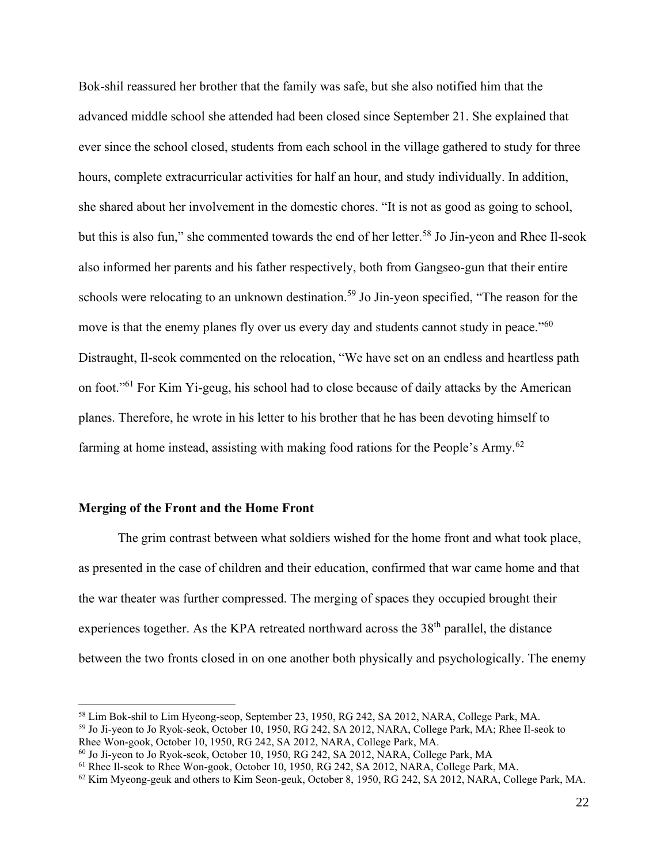Bok-shil reassured her brother that the family was safe, but she also notified him that the advanced middle school she attended had been closed since September 21. She explained that ever since the school closed, students from each school in the village gathered to study for three hours, complete extracurricular activities for half an hour, and study individually. In addition, she shared about her involvement in the domestic chores. "It is not as good as going to school, but this is also fun," she commented towards the end of her letter.<sup>58</sup> Jo Jin-yeon and Rhee Il-seok also informed her parents and his father respectively, both from Gangseo-gun that their entire schools were relocating to an unknown destination.<sup>59</sup> Jo Jin-yeon specified, "The reason for the move is that the enemy planes fly over us every day and students cannot study in peace."<sup>60</sup> Distraught, Il-seok commented on the relocation, "We have set on an endless and heartless path on foot."<sup>61</sup> For Kim Yi-geug, his school had to close because of daily attacks by the American planes. Therefore, he wrote in his letter to his brother that he has been devoting himself to farming at home instead, assisting with making food rations for the People's Army.<sup>62</sup>

#### **Merging of the Front and the Home Front**

The grim contrast between what soldiers wished for the home front and what took place, as presented in the case of children and their education, confirmed that war came home and that the war theater was further compressed. The merging of spaces they occupied brought their experiences together. As the KPA retreated northward across the 38<sup>th</sup> parallel, the distance between the two fronts closed in on one another both physically and psychologically. The enemy

<sup>58</sup> Lim Bok-shil to Lim Hyeong-seop, September 23, 1950, RG 242, SA 2012, NARA, College Park, MA.

<sup>59</sup> Jo Ji-yeon to Jo Ryok-seok, October 10, 1950, RG 242, SA 2012, NARA, College Park, MA; Rhee Il-seok to Rhee Won-gook, October 10, 1950, RG 242, SA 2012, NARA, College Park, MA.

<sup>60</sup> Jo Ji-yeon to Jo Ryok-seok, October 10, 1950, RG 242, SA 2012, NARA, College Park, MA

<sup>61</sup> Rhee Il-seok to Rhee Won-gook, October 10, 1950, RG 242, SA 2012, NARA, College Park, MA.

<sup>&</sup>lt;sup>62</sup> Kim Myeong-geuk and others to Kim Seon-geuk, October 8, 1950, RG 242, SA 2012, NARA, College Park, MA.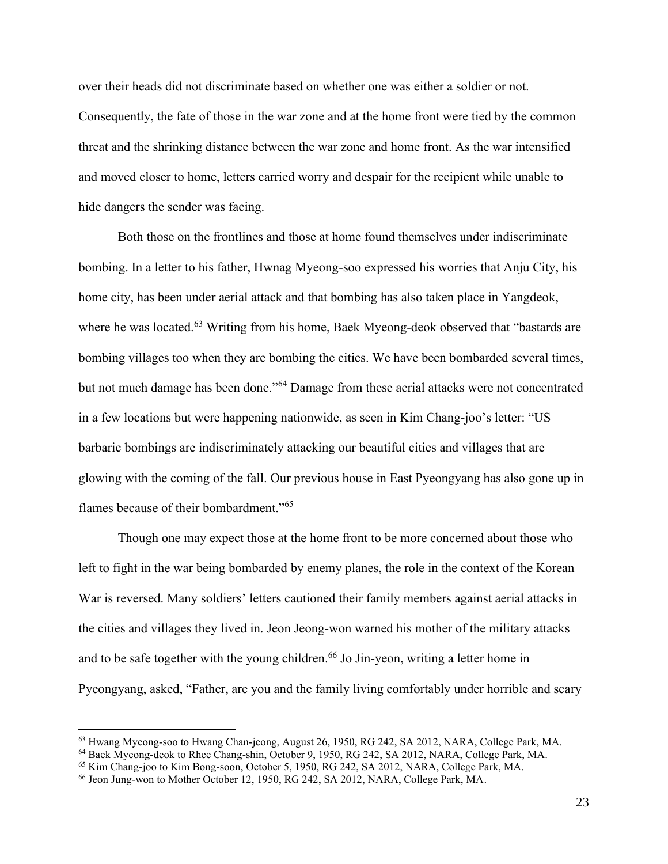over their heads did not discriminate based on whether one was either a soldier or not. Consequently, the fate of those in the war zone and at the home front were tied by the common threat and the shrinking distance between the war zone and home front. As the war intensified and moved closer to home, letters carried worry and despair for the recipient while unable to hide dangers the sender was facing.

Both those on the frontlines and those at home found themselves under indiscriminate bombing. In a letter to his father, Hwnag Myeong-soo expressed his worries that Anju City, his home city, has been under aerial attack and that bombing has also taken place in Yangdeok, where he was located.<sup>63</sup> Writing from his home, Baek Myeong-deok observed that "bastards are bombing villages too when they are bombing the cities. We have been bombarded several times, but not much damage has been done."<sup>64</sup> Damage from these aerial attacks were not concentrated in a few locations but were happening nationwide, as seen in Kim Chang-joo's letter: "US barbaric bombings are indiscriminately attacking our beautiful cities and villages that are glowing with the coming of the fall. Our previous house in East Pyeongyang has also gone up in flames because of their bombardment."<sup>65</sup>

Though one may expect those at the home front to be more concerned about those who left to fight in the war being bombarded by enemy planes, the role in the context of the Korean War is reversed. Many soldiers' letters cautioned their family members against aerial attacks in the cities and villages they lived in. Jeon Jeong-won warned his mother of the military attacks and to be safe together with the young children.<sup>66</sup> Jo Jin-yeon, writing a letter home in Pyeongyang, asked, "Father, are you and the family living comfortably under horrible and scary

<sup>&</sup>lt;sup>63</sup> Hwang Myeong-soo to Hwang Chan-jeong, August 26, 1950, RG 242, SA 2012, NARA, College Park, MA.

<sup>64</sup> Baek Myeong-deok to Rhee Chang-shin, October 9, 1950, RG 242, SA 2012, NARA, College Park, MA.

<sup>65</sup> Kim Chang-joo to Kim Bong-soon, October 5, 1950, RG 242, SA 2012, NARA, College Park, MA.

<sup>66</sup> Jeon Jung-won to Mother October 12, 1950, RG 242, SA 2012, NARA, College Park, MA.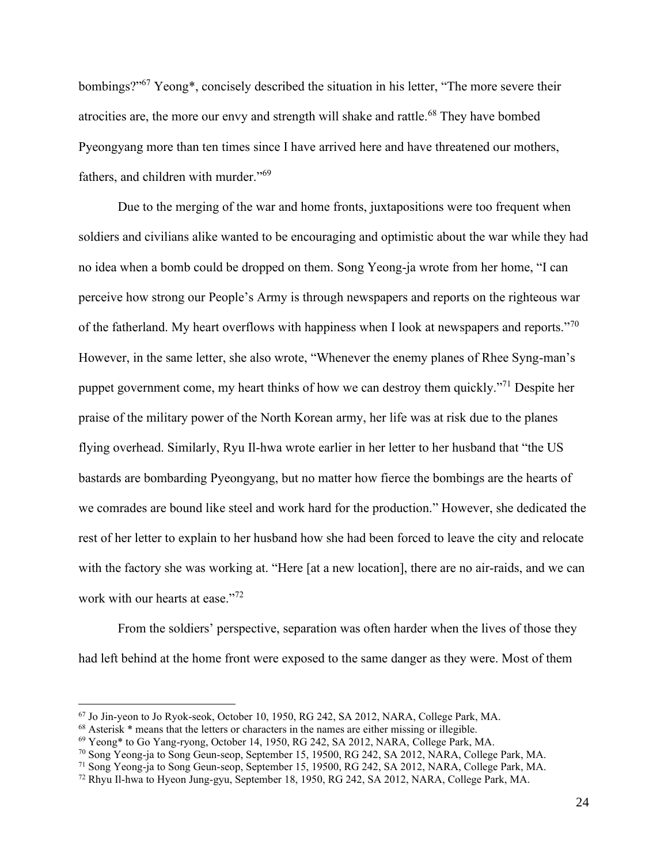bombings?"<sup>67</sup> Yeong\*, concisely described the situation in his letter, "The more severe their atrocities are, the more our envy and strength will shake and rattle.<sup>68</sup> They have bombed Pyeongyang more than ten times since I have arrived here and have threatened our mothers, fathers, and children with murder."<sup>69</sup>

Due to the merging of the war and home fronts, juxtapositions were too frequent when soldiers and civilians alike wanted to be encouraging and optimistic about the war while they had no idea when a bomb could be dropped on them. Song Yeong-ja wrote from her home, "I can perceive how strong our People's Army is through newspapers and reports on the righteous war of the fatherland. My heart overflows with happiness when I look at newspapers and reports."<sup>70</sup> However, in the same letter, she also wrote, "Whenever the enemy planes of Rhee Syng-man's puppet government come, my heart thinks of how we can destroy them quickly."<sup>71</sup> Despite her praise of the military power of the North Korean army, her life was at risk due to the planes flying overhead. Similarly, Ryu Il-hwa wrote earlier in her letter to her husband that "the US bastards are bombarding Pyeongyang, but no matter how fierce the bombings are the hearts of we comrades are bound like steel and work hard for the production." However, she dedicated the rest of her letter to explain to her husband how she had been forced to leave the city and relocate with the factory she was working at. "Here [at a new location], there are no air-raids, and we can work with our hearts at ease."<sup>72</sup>

From the soldiers' perspective, separation was often harder when the lives of those they had left behind at the home front were exposed to the same danger as they were. Most of them

<sup>67</sup> Jo Jin-yeon to Jo Ryok-seok, October 10, 1950, RG 242, SA 2012, NARA, College Park, MA.

<sup>68</sup> Asterisk \* means that the letters or characters in the names are either missing or illegible.

<sup>69</sup> Yeong\* to Go Yang-ryong, October 14, 1950, RG 242, SA 2012, NARA, College Park, MA.

<sup>70</sup> Song Yeong-ja to Song Geun-seop, September 15, 19500, RG 242, SA 2012, NARA, College Park, MA.

<sup>&</sup>lt;sup>71</sup> Song Yeong-ja to Song Geun-seop, September 15, 19500, RG 242, SA 2012, NARA, College Park, MA.

<sup>72</sup> Rhyu Il-hwa to Hyeon Jung-gyu, September 18, 1950, RG 242, SA 2012, NARA, College Park, MA.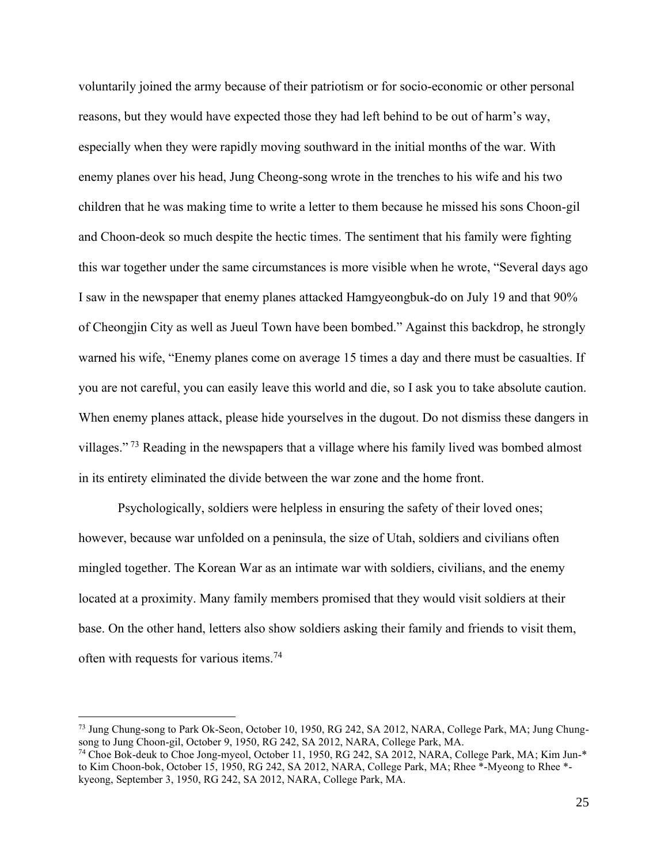voluntarily joined the army because of their patriotism or for socio-economic or other personal reasons, but they would have expected those they had left behind to be out of harm's way, especially when they were rapidly moving southward in the initial months of the war. With enemy planes over his head, Jung Cheong-song wrote in the trenches to his wife and his two children that he was making time to write a letter to them because he missed his sons Choon-gil and Choon-deok so much despite the hectic times. The sentiment that his family were fighting this war together under the same circumstances is more visible when he wrote, "Several days ago I saw in the newspaper that enemy planes attacked Hamgyeongbuk-do on July 19 and that 90% of Cheongjin City as well as Jueul Town have been bombed." Against this backdrop, he strongly warned his wife, "Enemy planes come on average 15 times a day and there must be casualties. If you are not careful, you can easily leave this world and die, so I ask you to take absolute caution. When enemy planes attack, please hide yourselves in the dugout. Do not dismiss these dangers in villages." <sup>73</sup> Reading in the newspapers that a village where his family lived was bombed almost in its entirety eliminated the divide between the war zone and the home front.

Psychologically, soldiers were helpless in ensuring the safety of their loved ones; however, because war unfolded on a peninsula, the size of Utah, soldiers and civilians often mingled together. The Korean War as an intimate war with soldiers, civilians, and the enemy located at a proximity. Many family members promised that they would visit soldiers at their base. On the other hand, letters also show soldiers asking their family and friends to visit them, often with requests for various items.<sup>74</sup>

<sup>73</sup> Jung Chung-song to Park Ok-Seon, October 10, 1950, RG 242, SA 2012, NARA, College Park, MA; Jung Chungsong to Jung Choon-gil, October 9, 1950, RG 242, SA 2012, NARA, College Park, MA.

<sup>74</sup> Choe Bok-deuk to Choe Jong-myeol, October 11, 1950, RG 242, SA 2012, NARA, College Park, MA; Kim Jun-\* to Kim Choon-bok, October 15, 1950, RG 242, SA 2012, NARA, College Park, MA; Rhee \*-Myeong to Rhee \* kyeong, September 3, 1950, RG 242, SA 2012, NARA, College Park, MA.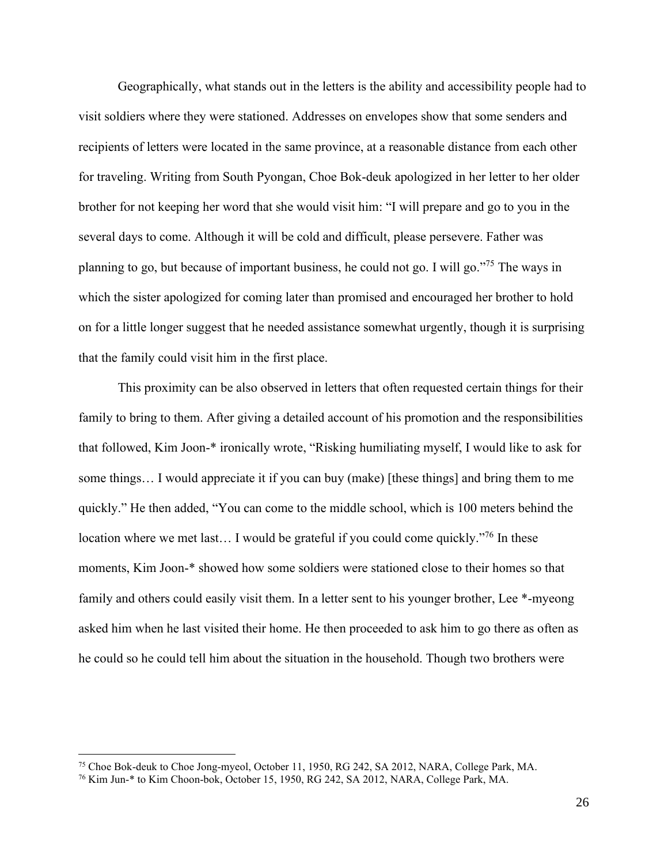Geographically, what stands out in the letters is the ability and accessibility people had to visit soldiers where they were stationed. Addresses on envelopes show that some senders and recipients of letters were located in the same province, at a reasonable distance from each other for traveling. Writing from South Pyongan, Choe Bok-deuk apologized in her letter to her older brother for not keeping her word that she would visit him: "I will prepare and go to you in the several days to come. Although it will be cold and difficult, please persevere. Father was planning to go, but because of important business, he could not go. I will go."<sup>75</sup> The ways in which the sister apologized for coming later than promised and encouraged her brother to hold on for a little longer suggest that he needed assistance somewhat urgently, though it is surprising that the family could visit him in the first place.

This proximity can be also observed in letters that often requested certain things for their family to bring to them. After giving a detailed account of his promotion and the responsibilities that followed, Kim Joon-\* ironically wrote, "Risking humiliating myself, I would like to ask for some things… I would appreciate it if you can buy (make) [these things] and bring them to me quickly." He then added, "You can come to the middle school, which is 100 meters behind the location where we met last... I would be grateful if you could come quickly."<sup>76</sup> In these moments, Kim Joon-\* showed how some soldiers were stationed close to their homes so that family and others could easily visit them. In a letter sent to his younger brother, Lee \*-myeong asked him when he last visited their home. He then proceeded to ask him to go there as often as he could so he could tell him about the situation in the household. Though two brothers were

<sup>&</sup>lt;sup>75</sup> Choe Bok-deuk to Choe Jong-myeol, October 11, 1950, RG 242, SA 2012, NARA, College Park, MA.

<sup>76</sup> Kim Jun-\* to Kim Choon-bok, October 15, 1950, RG 242, SA 2012, NARA, College Park, MA.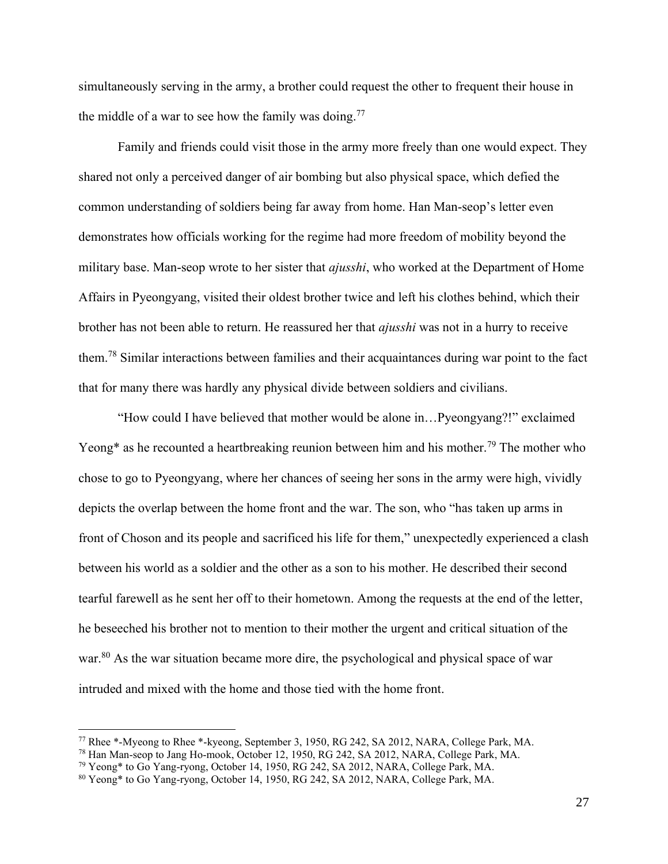simultaneously serving in the army, a brother could request the other to frequent their house in the middle of a war to see how the family was doing.<sup>77</sup>

Family and friends could visit those in the army more freely than one would expect. They shared not only a perceived danger of air bombing but also physical space, which defied the common understanding of soldiers being far away from home. Han Man-seop's letter even demonstrates how officials working for the regime had more freedom of mobility beyond the military base. Man-seop wrote to her sister that *ajusshi*, who worked at the Department of Home Affairs in Pyeongyang, visited their oldest brother twice and left his clothes behind, which their brother has not been able to return. He reassured her that *ajusshi* was not in a hurry to receive them.<sup>78</sup> Similar interactions between families and their acquaintances during war point to the fact that for many there was hardly any physical divide between soldiers and civilians.

"How could I have believed that mother would be alone in…Pyeongyang?!" exclaimed Yeong\* as he recounted a heartbreaking reunion between him and his mother.<sup>79</sup> The mother who chose to go to Pyeongyang, where her chances of seeing her sons in the army were high, vividly depicts the overlap between the home front and the war. The son, who "has taken up arms in front of Choson and its people and sacrificed his life for them," unexpectedly experienced a clash between his world as a soldier and the other as a son to his mother. He described their second tearful farewell as he sent her off to their hometown. Among the requests at the end of the letter, he beseeched his brother not to mention to their mother the urgent and critical situation of the war.<sup>80</sup> As the war situation became more dire, the psychological and physical space of war intruded and mixed with the home and those tied with the home front.

<sup>77</sup> Rhee \*-Myeong to Rhee \*-kyeong, September 3, 1950, RG 242, SA 2012, NARA, College Park, MA.

<sup>78</sup> Han Man-seop to Jang Ho-mook, October 12, 1950, RG 242, SA 2012, NARA, College Park, MA.

<sup>79</sup> Yeong\* to Go Yang-ryong, October 14, 1950, RG 242, SA 2012, NARA, College Park, MA.

<sup>80</sup> Yeong\* to Go Yang-ryong, October 14, 1950, RG 242, SA 2012, NARA, College Park, MA.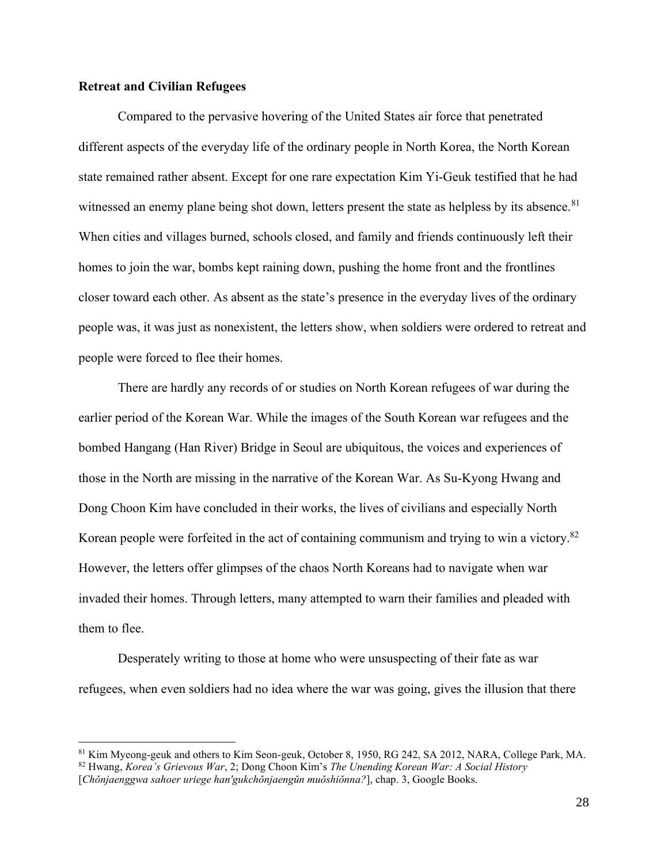#### **Retreat and Civilian Refugees**

Compared to the pervasive hovering of the United States air force that penetrated different aspects of the everyday life of the ordinary people in North Korea, the North Korean state remained rather absent. Except for one rare expectation Kim Yi-Geuk testified that he had witnessed an enemy plane being shot down, letters present the state as helpless by its absence.<sup>81</sup> When cities and villages burned, schools closed, and family and friends continuously left their homes to join the war, bombs kept raining down, pushing the home front and the frontlines closer toward each other. As absent as the state's presence in the everyday lives of the ordinary people was, it was just as nonexistent, the letters show, when soldiers were ordered to retreat and people were forced to flee their homes.

There are hardly any records of or studies on North Korean refugees of war during the earlier period of the Korean War. While the images of the South Korean war refugees and the bombed Hangang (Han River) Bridge in Seoul are ubiquitous, the voices and experiences of those in the North are missing in the narrative of the Korean War. As Su-Kyong Hwang and Dong Choon Kim have concluded in their works, the lives of civilians and especially North Korean people were forfeited in the act of containing communism and trying to win a victory.<sup>82</sup> However, the letters offer glimpses of the chaos North Koreans had to navigate when war invaded their homes. Through letters, many attempted to warn their families and pleaded with them to flee.

Desperately writing to those at home who were unsuspecting of their fate as war refugees, when even soldiers had no idea where the war was going, gives the illusion that there

<sup>81</sup> Kim Myeong-geuk and others to Kim Seon-geuk, October 8, 1950, RG 242, SA 2012, NARA, College Park, MA.

<sup>82</sup> Hwang, *Korea's Grievous War*, 2; Dong Choon Kim's *The Unending Korean War: A Social History* [*Chŏnjaenggwa sahoer uriege han'gukchŏnjaengŭn muŏshiŏnna?*], chap. 3, Google Books.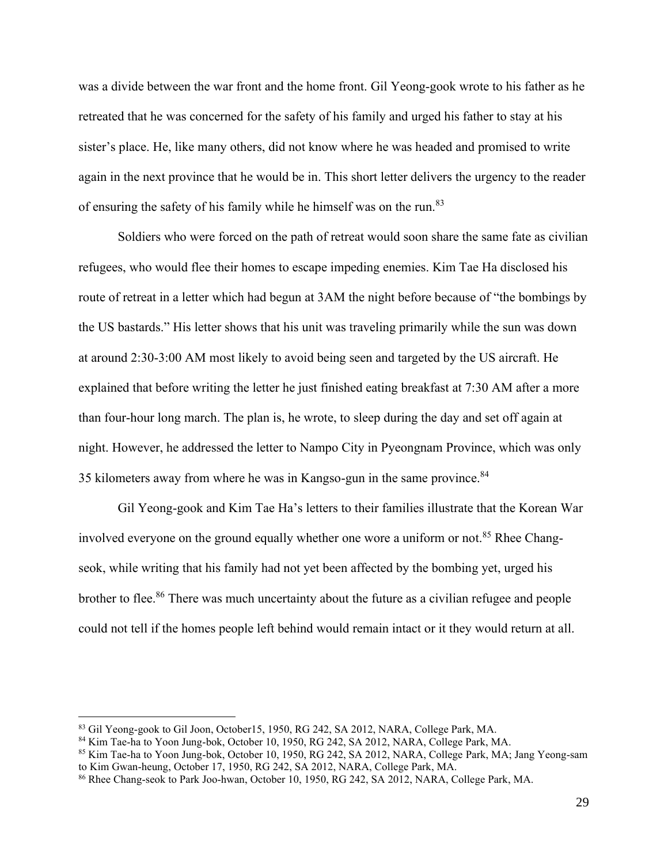was a divide between the war front and the home front. Gil Yeong-gook wrote to his father as he retreated that he was concerned for the safety of his family and urged his father to stay at his sister's place. He, like many others, did not know where he was headed and promised to write again in the next province that he would be in. This short letter delivers the urgency to the reader of ensuring the safety of his family while he himself was on the run.<sup>83</sup>

Soldiers who were forced on the path of retreat would soon share the same fate as civilian refugees, who would flee their homes to escape impeding enemies. Kim Tae Ha disclosed his route of retreat in a letter which had begun at 3AM the night before because of "the bombings by the US bastards." His letter shows that his unit was traveling primarily while the sun was down at around 2:30-3:00 AM most likely to avoid being seen and targeted by the US aircraft. He explained that before writing the letter he just finished eating breakfast at 7:30 AM after a more than four-hour long march. The plan is, he wrote, to sleep during the day and set off again at night. However, he addressed the letter to Nampo City in Pyeongnam Province, which was only 35 kilometers away from where he was in Kangso-gun in the same province.<sup>84</sup>

Gil Yeong-gook and Kim Tae Ha's letters to their families illustrate that the Korean War involved everyone on the ground equally whether one wore a uniform or not.<sup>85</sup> Rhee Changseok, while writing that his family had not yet been affected by the bombing yet, urged his brother to flee.<sup>86</sup> There was much uncertainty about the future as a civilian refugee and people could not tell if the homes people left behind would remain intact or it they would return at all.

<sup>83</sup> Gil Yeong-gook to Gil Joon, October15, 1950, RG 242, SA 2012, NARA, College Park, MA.

<sup>84</sup> Kim Tae-ha to Yoon Jung-bok, October 10, 1950, RG 242, SA 2012, NARA, College Park, MA.

<sup>&</sup>lt;sup>85</sup> Kim Tae-ha to Yoon Jung-bok, October 10, 1950, RG 242, SA 2012, NARA, College Park, MA; Jang Yeong-sam to Kim Gwan-heung, October 17, 1950, RG 242, SA 2012, NARA, College Park, MA.

<sup>86</sup> Rhee Chang-seok to Park Joo-hwan, October 10, 1950, RG 242, SA 2012, NARA, College Park, MA.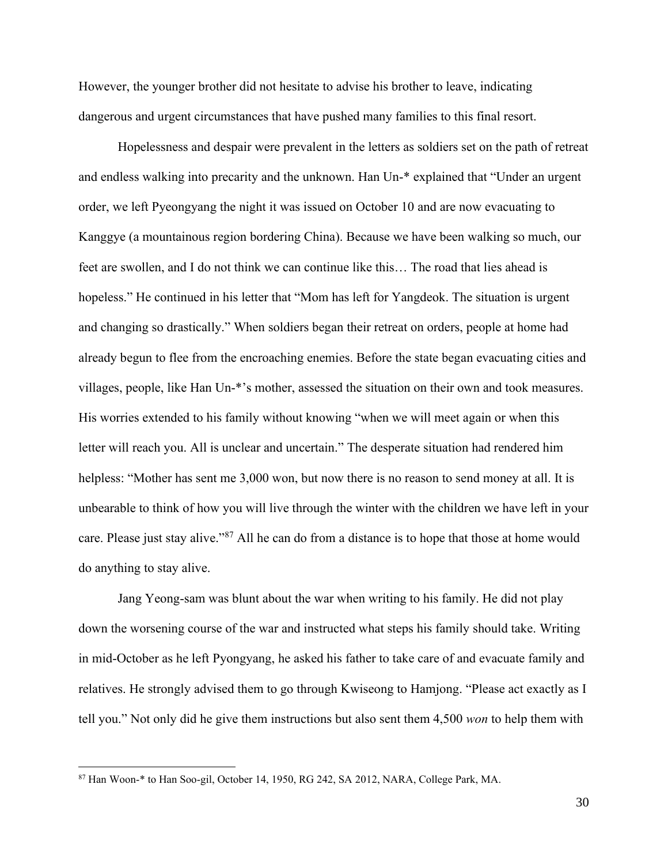However, the younger brother did not hesitate to advise his brother to leave, indicating dangerous and urgent circumstances that have pushed many families to this final resort.

Hopelessness and despair were prevalent in the letters as soldiers set on the path of retreat and endless walking into precarity and the unknown. Han Un-\* explained that "Under an urgent order, we left Pyeongyang the night it was issued on October 10 and are now evacuating to Kanggye (a mountainous region bordering China). Because we have been walking so much, our feet are swollen, and I do not think we can continue like this… The road that lies ahead is hopeless." He continued in his letter that "Mom has left for Yangdeok. The situation is urgent and changing so drastically." When soldiers began their retreat on orders, people at home had already begun to flee from the encroaching enemies. Before the state began evacuating cities and villages, people, like Han Un-\*'s mother, assessed the situation on their own and took measures. His worries extended to his family without knowing "when we will meet again or when this letter will reach you. All is unclear and uncertain." The desperate situation had rendered him helpless: "Mother has sent me 3,000 won, but now there is no reason to send money at all. It is unbearable to think of how you will live through the winter with the children we have left in your care. Please just stay alive."<sup>87</sup> All he can do from a distance is to hope that those at home would do anything to stay alive.

Jang Yeong-sam was blunt about the war when writing to his family. He did not play down the worsening course of the war and instructed what steps his family should take. Writing in mid-October as he left Pyongyang, he asked his father to take care of and evacuate family and relatives. He strongly advised them to go through Kwiseong to Hamjong. "Please act exactly as I tell you." Not only did he give them instructions but also sent them 4,500 *won* to help them with

<sup>87</sup> Han Woon-\* to Han Soo-gil, October 14, 1950, RG 242, SA 2012, NARA, College Park, MA.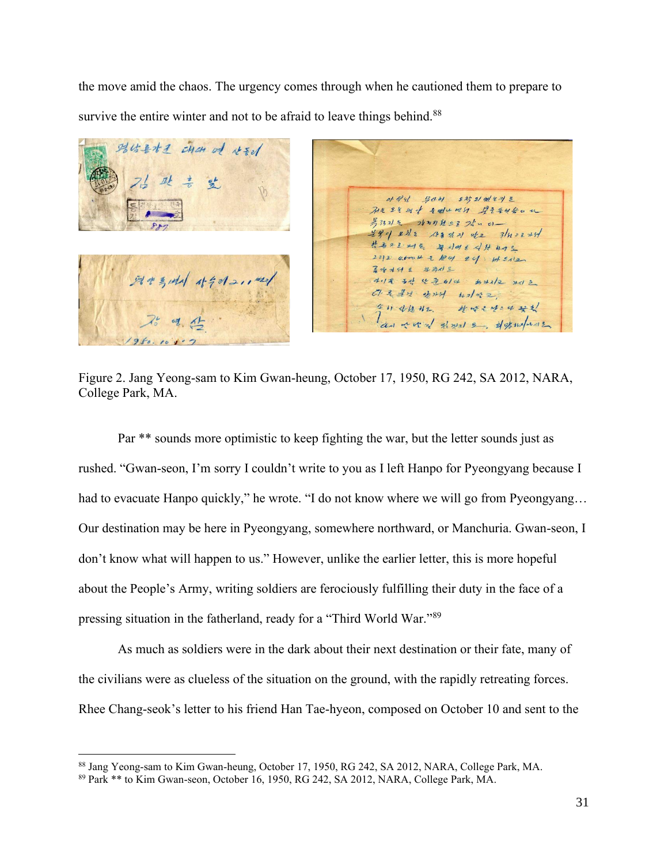the move amid the chaos. The urgency comes through when he cautioned them to prepare to survive the entire winter and not to be afraid to leave things behind.<sup>88</sup>

BUZ+2 chan of Azel  $0.44$ 무사기 도착되었는지 2 71224 28 + 2du 0251 922440 a 考3321气 2831 刻色 23 24 5 01-号字 生社 188 day of 3/4=2x5/ 방송으로 서식 목이에는 식사 41% 23/2 afoot = 124 24 HEN2 第水水升至 社部人名 평생 특별시 사수에2,1421 4.1 을 동산 산문 6/4 #가지고 가지 코 Cl 2 분석 양가녀 bra/ 전 2 全日本版社 外味: 4:4 共社 an word gloss 2, if graduals

Figure 2. Jang Yeong-sam to Kim Gwan-heung, October 17, 1950, RG 242, SA 2012, NARA, College Park, MA.

Par \*\* sounds more optimistic to keep fighting the war, but the letter sounds just as rushed. "Gwan-seon, I'm sorry I couldn't write to you as I left Hanpo for Pyeongyang because I had to evacuate Hanpo quickly," he wrote. "I do not know where we will go from Pyeongyang... Our destination may be here in Pyeongyang, somewhere northward, or Manchuria. Gwan-seon, I don't know what will happen to us." However, unlike the earlier letter, this is more hopeful about the People's Army, writing soldiers are ferociously fulfilling their duty in the face of a pressing situation in the fatherland, ready for a "Third World War."<sup>89</sup>

As much as soldiers were in the dark about their next destination or their fate, many of the civilians were as clueless of the situation on the ground, with the rapidly retreating forces. Rhee Chang-seok's letter to his friend Han Tae-hyeon, composed on October 10 and sent to the

<sup>88</sup> Jang Yeong-sam to Kim Gwan-heung, October 17, 1950, RG 242, SA 2012, NARA, College Park, MA.

<sup>89</sup> Park \*\* to Kim Gwan-seon, October 16, 1950, RG 242, SA 2012, NARA, College Park, MA.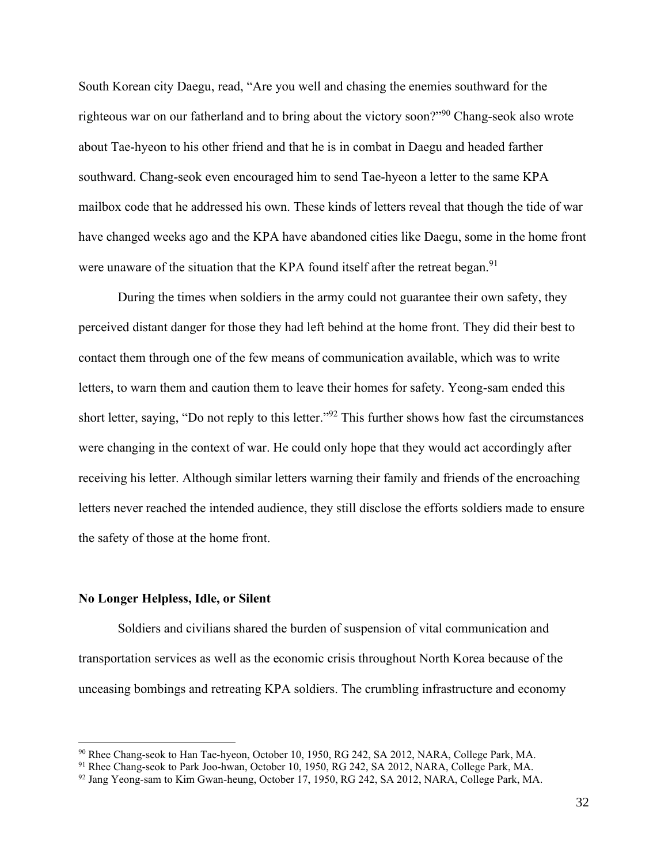South Korean city Daegu, read, "Are you well and chasing the enemies southward for the righteous war on our fatherland and to bring about the victory soon?"<sup>90</sup> Chang-seok also wrote about Tae-hyeon to his other friend and that he is in combat in Daegu and headed farther southward. Chang-seok even encouraged him to send Tae-hyeon a letter to the same KPA mailbox code that he addressed his own. These kinds of letters reveal that though the tide of war have changed weeks ago and the KPA have abandoned cities like Daegu, some in the home front were unaware of the situation that the KPA found itself after the retreat began.<sup>91</sup>

During the times when soldiers in the army could not guarantee their own safety, they perceived distant danger for those they had left behind at the home front. They did their best to contact them through one of the few means of communication available, which was to write letters, to warn them and caution them to leave their homes for safety. Yeong-sam ended this short letter, saying, "Do not reply to this letter."<sup>92</sup> This further shows how fast the circumstances were changing in the context of war. He could only hope that they would act accordingly after receiving his letter. Although similar letters warning their family and friends of the encroaching letters never reached the intended audience, they still disclose the efforts soldiers made to ensure the safety of those at the home front.

#### **No Longer Helpless, Idle, or Silent**

Soldiers and civilians shared the burden of suspension of vital communication and transportation services as well as the economic crisis throughout North Korea because of the unceasing bombings and retreating KPA soldiers. The crumbling infrastructure and economy

<sup>90</sup> Rhee Chang-seok to Han Tae-hyeon, October 10, 1950, RG 242, SA 2012, NARA, College Park, MA.

<sup>&</sup>lt;sup>91</sup> Rhee Chang-seok to Park Joo-hwan, October 10, 1950, RG 242, SA 2012, NARA, College Park, MA.

<sup>92</sup> Jang Yeong-sam to Kim Gwan-heung, October 17, 1950, RG 242, SA 2012, NARA, College Park, MA.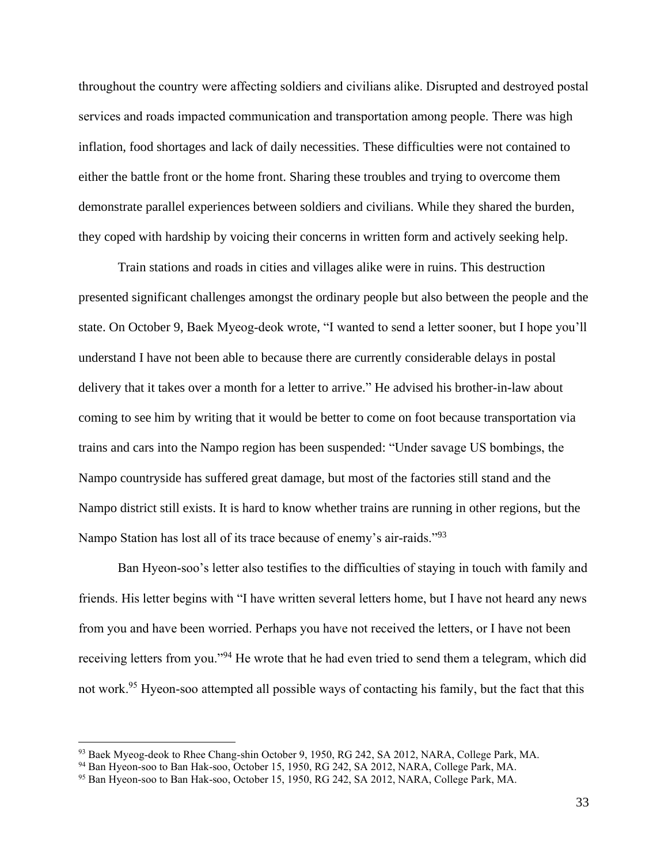throughout the country were affecting soldiers and civilians alike. Disrupted and destroyed postal services and roads impacted communication and transportation among people. There was high inflation, food shortages and lack of daily necessities. These difficulties were not contained to either the battle front or the home front. Sharing these troubles and trying to overcome them demonstrate parallel experiences between soldiers and civilians. While they shared the burden, they coped with hardship by voicing their concerns in written form and actively seeking help.

Train stations and roads in cities and villages alike were in ruins. This destruction presented significant challenges amongst the ordinary people but also between the people and the state. On October 9, Baek Myeog-deok wrote, "I wanted to send a letter sooner, but I hope you'll understand I have not been able to because there are currently considerable delays in postal delivery that it takes over a month for a letter to arrive." He advised his brother-in-law about coming to see him by writing that it would be better to come on foot because transportation via trains and cars into the Nampo region has been suspended: "Under savage US bombings, the Nampo countryside has suffered great damage, but most of the factories still stand and the Nampo district still exists. It is hard to know whether trains are running in other regions, but the Nampo Station has lost all of its trace because of enemy's air-raids."<sup>93</sup>

Ban Hyeon-soo's letter also testifies to the difficulties of staying in touch with family and friends. His letter begins with "I have written several letters home, but I have not heard any news from you and have been worried. Perhaps you have not received the letters, or I have not been receiving letters from you."<sup>94</sup> He wrote that he had even tried to send them a telegram, which did not work.<sup>95</sup> Hyeon-soo attempted all possible ways of contacting his family, but the fact that this

<sup>93</sup> Baek Myeog-deok to Rhee Chang-shin October 9, 1950, RG 242, SA 2012, NARA, College Park, MA.

<sup>94</sup> Ban Hyeon-soo to Ban Hak-soo, October 15, 1950, RG 242, SA 2012, NARA, College Park, MA.

<sup>95</sup> Ban Hyeon-soo to Ban Hak-soo, October 15, 1950, RG 242, SA 2012, NARA, College Park, MA.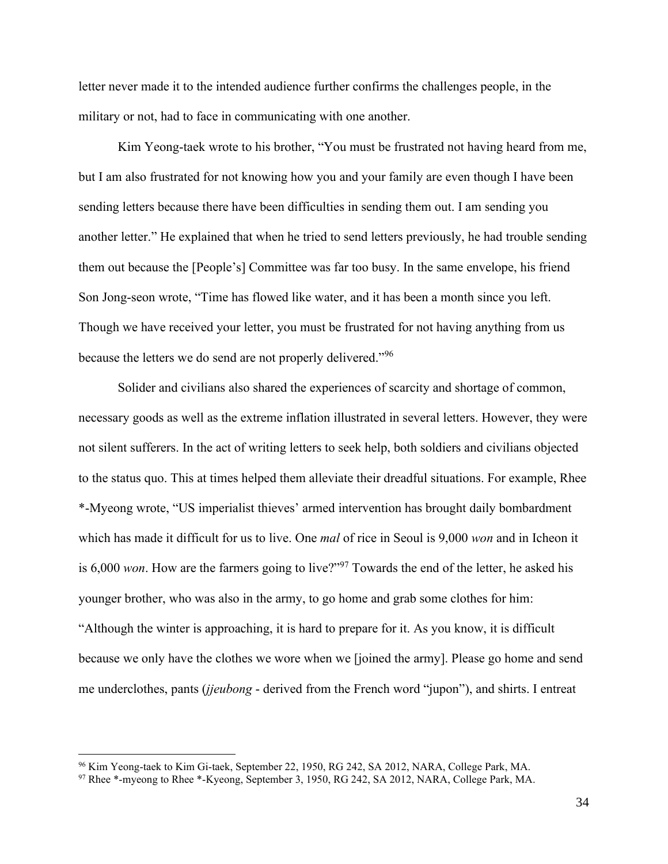letter never made it to the intended audience further confirms the challenges people, in the military or not, had to face in communicating with one another.

Kim Yeong-taek wrote to his brother, "You must be frustrated not having heard from me, but I am also frustrated for not knowing how you and your family are even though I have been sending letters because there have been difficulties in sending them out. I am sending you another letter." He explained that when he tried to send letters previously, he had trouble sending them out because the [People's] Committee was far too busy. In the same envelope, his friend Son Jong-seon wrote, "Time has flowed like water, and it has been a month since you left. Though we have received your letter, you must be frustrated for not having anything from us because the letters we do send are not properly delivered."<sup>96</sup>

Solider and civilians also shared the experiences of scarcity and shortage of common, necessary goods as well as the extreme inflation illustrated in several letters. However, they were not silent sufferers. In the act of writing letters to seek help, both soldiers and civilians objected to the status quo. This at times helped them alleviate their dreadful situations. For example, Rhee \*-Myeong wrote, "US imperialist thieves' armed intervention has brought daily bombardment which has made it difficult for us to live. One *mal* of rice in Seoul is 9,000 *won* and in Icheon it is 6,000 *won*. How are the farmers going to live?"<sup>97</sup> Towards the end of the letter, he asked his younger brother, who was also in the army, to go home and grab some clothes for him: "Although the winter is approaching, it is hard to prepare for it. As you know, it is difficult because we only have the clothes we wore when we [joined the army]. Please go home and send me underclothes, pants (*jjeubong* - derived from the French word "jupon"), and shirts. I entreat

<sup>96</sup> Kim Yeong-taek to Kim Gi-taek, September 22, 1950, RG 242, SA 2012, NARA, College Park, MA.

<sup>97</sup> Rhee \*-myeong to Rhee \*-Kyeong, September 3, 1950, RG 242, SA 2012, NARA, College Park, MA.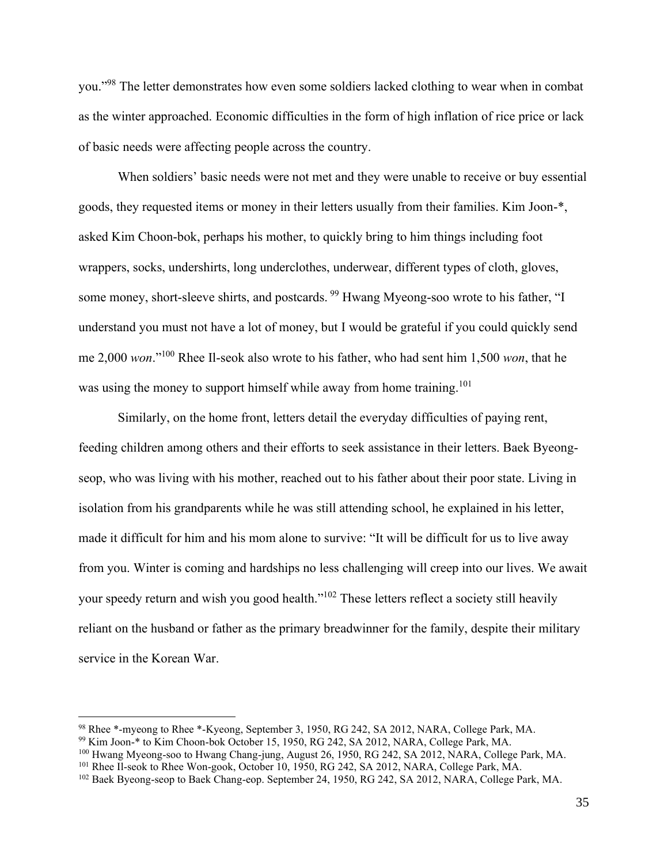you."<sup>98</sup> The letter demonstrates how even some soldiers lacked clothing to wear when in combat as the winter approached. Economic difficulties in the form of high inflation of rice price or lack of basic needs were affecting people across the country.

When soldiers' basic needs were not met and they were unable to receive or buy essential goods, they requested items or money in their letters usually from their families. Kim Joon-\*, asked Kim Choon-bok, perhaps his mother, to quickly bring to him things including foot wrappers, socks, undershirts, long underclothes, underwear, different types of cloth, gloves, some money, short-sleeve shirts, and postcards. <sup>99</sup> Hwang Myeong-soo wrote to his father, "I understand you must not have a lot of money, but I would be grateful if you could quickly send me 2,000 *won*."<sup>100</sup> Rhee Il-seok also wrote to his father, who had sent him 1,500 *won*, that he was using the money to support himself while away from home training.<sup>101</sup>

Similarly, on the home front, letters detail the everyday difficulties of paying rent, feeding children among others and their efforts to seek assistance in their letters. Baek Byeongseop, who was living with his mother, reached out to his father about their poor state. Living in isolation from his grandparents while he was still attending school, he explained in his letter, made it difficult for him and his mom alone to survive: "It will be difficult for us to live away from you. Winter is coming and hardships no less challenging will creep into our lives. We await your speedy return and wish you good health."<sup>102</sup> These letters reflect a society still heavily reliant on the husband or father as the primary breadwinner for the family, despite their military service in the Korean War.

<sup>98</sup> Rhee \*-myeong to Rhee \*-Kyeong, September 3, 1950, RG 242, SA 2012, NARA, College Park, MA.

<sup>99</sup> Kim Joon-\* to Kim Choon-bok October 15, 1950, RG 242, SA 2012, NARA, College Park, MA.

<sup>100</sup> Hwang Myeong-soo to Hwang Chang-jung, August 26, 1950, RG 242, SA 2012, NARA, College Park, MA.

<sup>101</sup> Rhee Il-seok to Rhee Won-gook, October 10, 1950, RG 242, SA 2012, NARA, College Park, MA.

<sup>&</sup>lt;sup>102</sup> Baek Byeong-seop to Baek Chang-eop. September 24, 1950, RG 242, SA 2012, NARA, College Park, MA.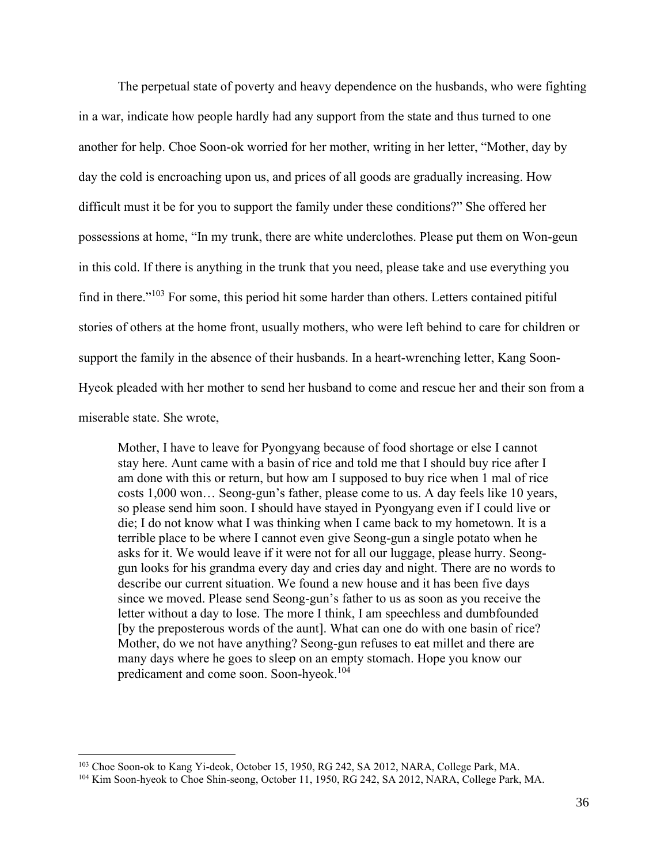The perpetual state of poverty and heavy dependence on the husbands, who were fighting in a war, indicate how people hardly had any support from the state and thus turned to one another for help. Choe Soon-ok worried for her mother, writing in her letter, "Mother, day by day the cold is encroaching upon us, and prices of all goods are gradually increasing. How difficult must it be for you to support the family under these conditions?" She offered her possessions at home, "In my trunk, there are white underclothes. Please put them on Won-geun in this cold. If there is anything in the trunk that you need, please take and use everything you find in there."<sup>103</sup> For some, this period hit some harder than others. Letters contained pitiful stories of others at the home front, usually mothers, who were left behind to care for children or support the family in the absence of their husbands. In a heart-wrenching letter, Kang Soon-Hyeok pleaded with her mother to send her husband to come and rescue her and their son from a miserable state. She wrote,

Mother, I have to leave for Pyongyang because of food shortage or else I cannot stay here. Aunt came with a basin of rice and told me that I should buy rice after I am done with this or return, but how am I supposed to buy rice when 1 mal of rice costs 1,000 won… Seong-gun's father, please come to us. A day feels like 10 years, so please send him soon. I should have stayed in Pyongyang even if I could live or die; I do not know what I was thinking when I came back to my hometown. It is a terrible place to be where I cannot even give Seong-gun a single potato when he asks for it. We would leave if it were not for all our luggage, please hurry. Seonggun looks for his grandma every day and cries day and night. There are no words to describe our current situation. We found a new house and it has been five days since we moved. Please send Seong-gun's father to us as soon as you receive the letter without a day to lose. The more I think, I am speechless and dumbfounded [by the preposterous words of the aunt]. What can one do with one basin of rice? Mother, do we not have anything? Seong-gun refuses to eat millet and there are many days where he goes to sleep on an empty stomach. Hope you know our predicament and come soon. Soon-hyeok.<sup>104</sup>

<sup>&</sup>lt;sup>103</sup> Choe Soon-ok to Kang Yi-deok, October 15, 1950, RG 242, SA 2012, NARA, College Park, MA.

<sup>104</sup> Kim Soon-hyeok to Choe Shin-seong, October 11, 1950, RG 242, SA 2012, NARA, College Park, MA.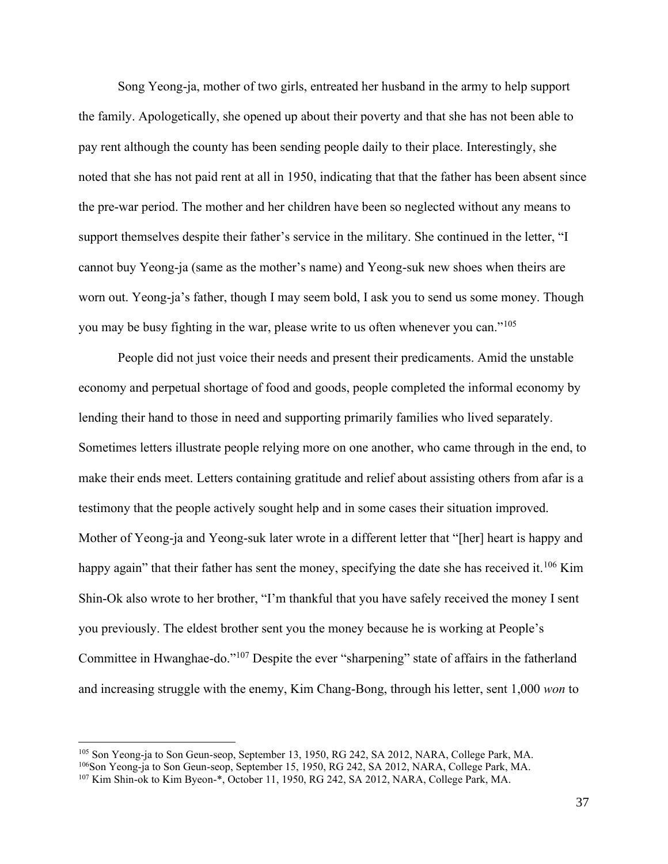Song Yeong-ja, mother of two girls, entreated her husband in the army to help support the family. Apologetically, she opened up about their poverty and that she has not been able to pay rent although the county has been sending people daily to their place. Interestingly, she noted that she has not paid rent at all in 1950, indicating that that the father has been absent since the pre-war period. The mother and her children have been so neglected without any means to support themselves despite their father's service in the military. She continued in the letter, "I cannot buy Yeong-ja (same as the mother's name) and Yeong-suk new shoes when theirs are worn out. Yeong-ja's father, though I may seem bold, I ask you to send us some money. Though you may be busy fighting in the war, please write to us often whenever you can."<sup>105</sup>

People did not just voice their needs and present their predicaments. Amid the unstable economy and perpetual shortage of food and goods, people completed the informal economy by lending their hand to those in need and supporting primarily families who lived separately. Sometimes letters illustrate people relying more on one another, who came through in the end, to make their ends meet. Letters containing gratitude and relief about assisting others from afar is a testimony that the people actively sought help and in some cases their situation improved. Mother of Yeong-ja and Yeong-suk later wrote in a different letter that "[her] heart is happy and happy again" that their father has sent the money, specifying the date she has received it.<sup>106</sup> Kim Shin-Ok also wrote to her brother, "I'm thankful that you have safely received the money I sent you previously. The eldest brother sent you the money because he is working at People's Committee in Hwanghae-do."<sup>107</sup> Despite the ever "sharpening" state of affairs in the fatherland and increasing struggle with the enemy, Kim Chang-Bong, through his letter, sent 1,000 *won* to

<sup>&</sup>lt;sup>105</sup> Son Yeong-ja to Son Geun-seop, September 13, 1950, RG 242, SA 2012, NARA, College Park, MA. <sup>106</sup>Son Yeong-ja to Son Geun-seop, September 15, 1950, RG 242, SA 2012, NARA, College Park, MA.

<sup>107</sup> Kim Shin-ok to Kim Byeon-\*, October 11, 1950, RG 242, SA 2012, NARA, College Park, MA.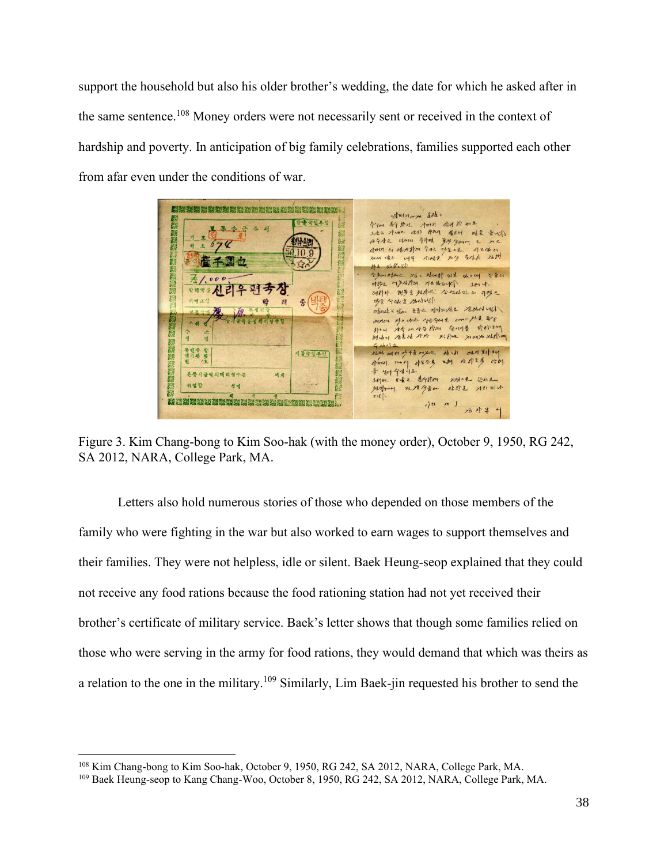support the household but also his older brother's wedding, the date for which he asked after in the same sentence.<sup>108</sup> Money orders were not necessarily sent or received in the context of hardship and poverty. In anticipation of big family celebrations, families supported each other from afar even under the conditions of war.



Figure 3. Kim Chang-bong to Kim Soo-hak (with the money order), October 9, 1950, RG 242, SA 2012, NARA, College Park, MA.

Letters also hold numerous stories of those who depended on those members of the family who were fighting in the war but also worked to earn wages to support themselves and their families. They were not helpless, idle or silent. Baek Heung-seop explained that they could not receive any food rations because the food rationing station had not yet received their brother's certificate of military service. Baek's letter shows that though some families relied on those who were serving in the army for food rations, they would demand that which was theirs as a relation to the one in the military.<sup>109</sup> Similarly, Lim Baek-jin requested his brother to send the

<sup>&</sup>lt;sup>108</sup> Kim Chang-bong to Kim Soo-hak, October 9, 1950, RG 242, SA 2012, NARA, College Park, MA.

<sup>109</sup> Baek Heung-seop to Kang Chang-Woo, October 8, 1950, RG 242, SA 2012, NARA, College Park, MA.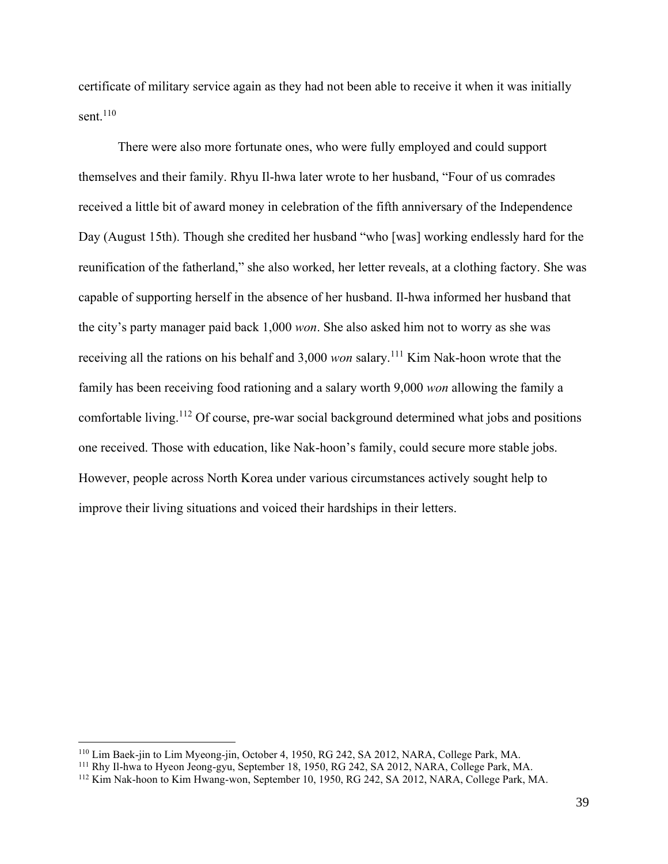certificate of military service again as they had not been able to receive it when it was initially sent. $110$ 

There were also more fortunate ones, who were fully employed and could support themselves and their family. Rhyu Il-hwa later wrote to her husband, "Four of us comrades received a little bit of award money in celebration of the fifth anniversary of the Independence Day (August 15th). Though she credited her husband "who [was] working endlessly hard for the reunification of the fatherland," she also worked, her letter reveals, at a clothing factory. She was capable of supporting herself in the absence of her husband. Il-hwa informed her husband that the city's party manager paid back 1,000 *won*. She also asked him not to worry as she was receiving all the rations on his behalf and 3,000 *won* salary.<sup>111</sup> Kim Nak-hoon wrote that the family has been receiving food rationing and a salary worth 9,000 *won* allowing the family a comfortable living.<sup>112</sup> Of course, pre-war social background determined what jobs and positions one received. Those with education, like Nak-hoon's family, could secure more stable jobs. However, people across North Korea under various circumstances actively sought help to improve their living situations and voiced their hardships in their letters.

<sup>110</sup> Lim Baek-jin to Lim Myeong-jin, October 4, 1950, RG 242, SA 2012, NARA, College Park, MA.

<sup>111</sup> Rhy Il-hwa to Hyeon Jeong-gyu, September 18, 1950, RG 242, SA 2012, NARA, College Park, MA.

<sup>112</sup> Kim Nak-hoon to Kim Hwang-won, September 10, 1950, RG 242, SA 2012, NARA, College Park, MA.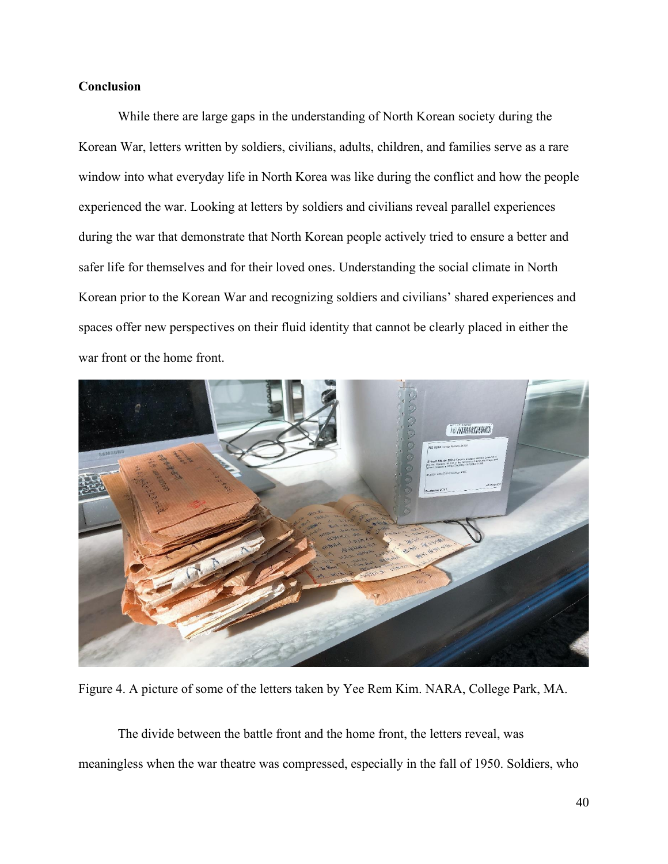### **Conclusion**

While there are large gaps in the understanding of North Korean society during the Korean War, letters written by soldiers, civilians, adults, children, and families serve as a rare window into what everyday life in North Korea was like during the conflict and how the people experienced the war. Looking at letters by soldiers and civilians reveal parallel experiences during the war that demonstrate that North Korean people actively tried to ensure a better and safer life for themselves and for their loved ones. Understanding the social climate in North Korean prior to the Korean War and recognizing soldiers and civilians' shared experiences and spaces offer new perspectives on their fluid identity that cannot be clearly placed in either the war front or the home front.



Figure 4. A picture of some of the letters taken by Yee Rem Kim. NARA, College Park, MA.

The divide between the battle front and the home front, the letters reveal, was meaningless when the war theatre was compressed, especially in the fall of 1950. Soldiers, who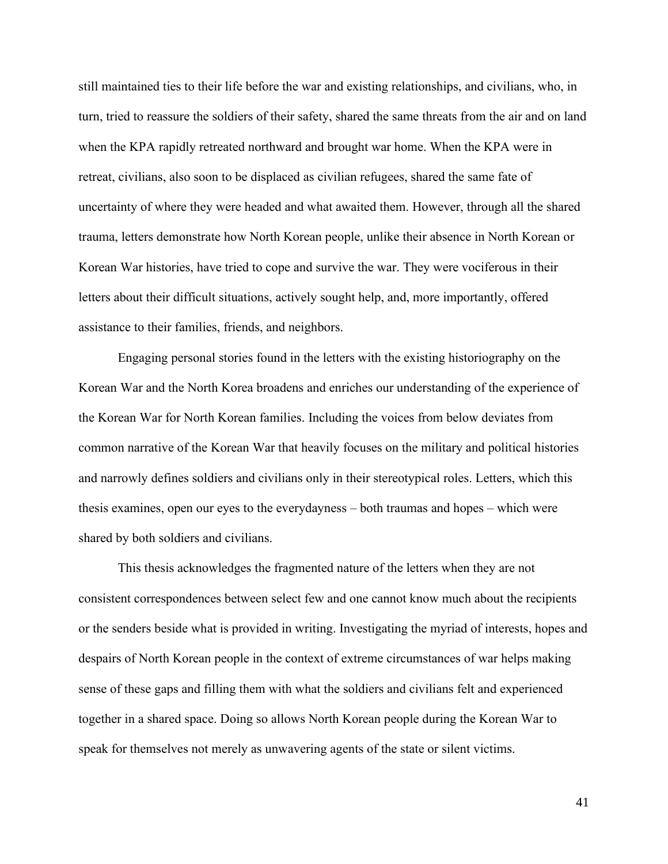still maintained ties to their life before the war and existing relationships, and civilians, who, in turn, tried to reassure the soldiers of their safety, shared the same threats from the air and on land when the KPA rapidly retreated northward and brought war home. When the KPA were in retreat, civilians, also soon to be displaced as civilian refugees, shared the same fate of uncertainty of where they were headed and what awaited them. However, through all the shared trauma, letters demonstrate how North Korean people, unlike their absence in North Korean or Korean War histories, have tried to cope and survive the war. They were vociferous in their letters about their difficult situations, actively sought help, and, more importantly, offered assistance to their families, friends, and neighbors.

Engaging personal stories found in the letters with the existing historiography on the Korean War and the North Korea broadens and enriches our understanding of the experience of the Korean War for North Korean families. Including the voices from below deviates from common narrative of the Korean War that heavily focuses on the military and political histories and narrowly defines soldiers and civilians only in their stereotypical roles. Letters, which this thesis examines, open our eyes to the everydayness – both traumas and hopes – which were shared by both soldiers and civilians.

This thesis acknowledges the fragmented nature of the letters when they are not consistent correspondences between select few and one cannot know much about the recipients or the senders beside what is provided in writing. Investigating the myriad of interests, hopes and despairs of North Korean people in the context of extreme circumstances of war helps making sense of these gaps and filling them with what the soldiers and civilians felt and experienced together in a shared space. Doing so allows North Korean people during the Korean War to speak for themselves not merely as unwavering agents of the state or silent victims.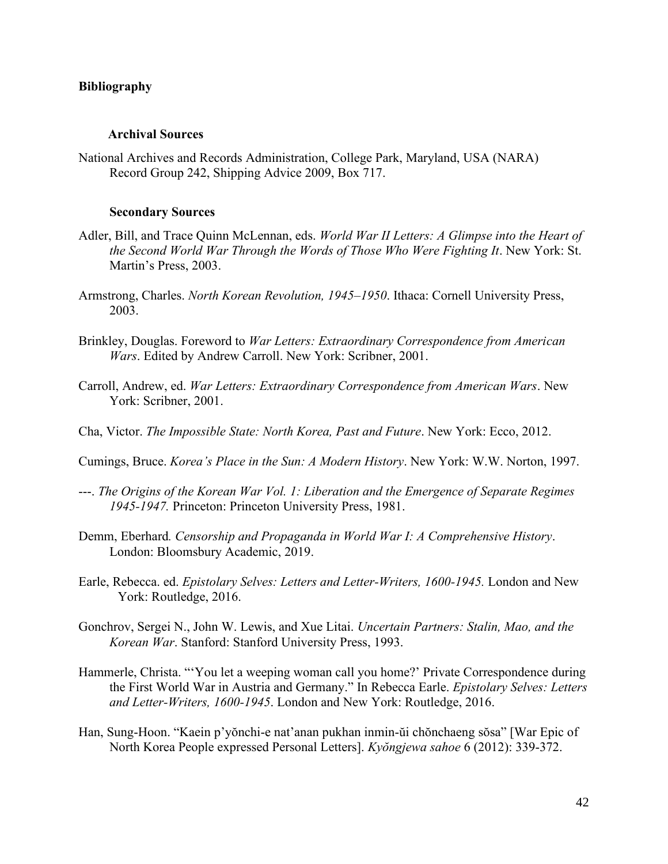#### **Bibliography**

#### **Archival Sources**

National Archives and Records Administration, College Park, Maryland, USA (NARA) Record Group 242, Shipping Advice 2009, Box 717.

#### **Secondary Sources**

- Adler, Bill, and Trace Quinn McLennan, eds. *World War II Letters: A Glimpse into the Heart of the Second World War Through the Words of Those Who Were Fighting It. New York: St.* Martin's Press, 2003.
- Armstrong, Charles. *North Korean Revolution, 1945–1950*. Ithaca: Cornell University Press, 2003.
- Brinkley, Douglas. Foreword to *War Letters: Extraordinary Correspondence from American Wars*. Edited by Andrew Carroll. New York: Scribner, 2001.
- Carroll, Andrew, ed. *War Letters: Extraordinary Correspondence from American Wars*. New York: Scribner, 2001.
- Cha, Victor. *The Impossible State: North Korea, Past and Future*. New York: Ecco, 2012.
- Cumings, Bruce. *Korea's Place in the Sun: A Modern History*. New York: W.W. Norton, 1997.
- ---. *The Origins of the Korean War Vol. 1: Liberation and the Emergence of Separate Regimes 1945-1947.* Princeton: Princeton University Press, 1981.
- Demm, Eberhard*. Censorship and Propaganda in World War I: A Comprehensive History*. London: Bloomsbury Academic, 2019.
- Earle, Rebecca. ed. *Epistolary Selves: Letters and Letter-Writers, 1600-1945.* London and New York: Routledge, 2016.
- Gonchrov, Sergei N., John W. Lewis, and Xue Litai. *Uncertain Partners: Stalin, Mao, and the Korean War*. Stanford: Stanford University Press, 1993.
- Hammerle, Christa. "'You let a weeping woman call you home?' Private Correspondence during the First World War in Austria and Germany." In Rebecca Earle. *Epistolary Selves: Letters and Letter-Writers, 1600-1945*. London and New York: Routledge, 2016.
- Han, Sung-Hoon. "Kaein p'yŏnchi-e nat'anan pukhan inmin-ŭi chŏnchaeng sŏsa" [War Epic of North Korea People expressed Personal Letters]. *Kyŏngjewa sahoe* 6 (2012): 339-372.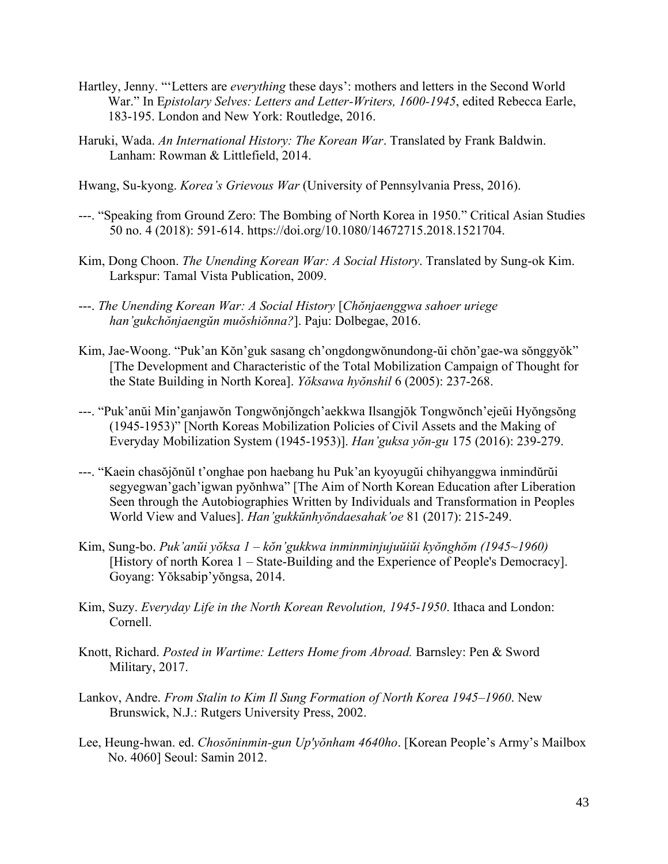- Hartley, Jenny. "'Letters are *everything* these days': mothers and letters in the Second World War." In E*pistolary Selves: Letters and Letter-Writers, 1600-1945*, edited Rebecca Earle, 183-195. London and New York: Routledge, 2016.
- Haruki, Wada. *An International History: The Korean War*. Translated by Frank Baldwin. Lanham: Rowman & Littlefield, 2014.
- Hwang, Su-kyong. *Korea's Grievous War* (University of Pennsylvania Press, 2016).
- ---. "Speaking from Ground Zero: The Bombing of North Korea in 1950." Critical Asian Studies 50 no. 4 (2018): 591-614. https://doi.org/10.1080/14672715.2018.1521704.
- Kim, Dong Choon. *The Unending Korean War: A Social History*. Translated by Sung-ok Kim. Larkspur: Tamal Vista Publication, 2009.
- ---. *The Unending Korean War: A Social History* [*Chŏnjaenggwa sahoer uriege han'gukchŏnjaengŭn muŏshiŏnna?*]. Paju: Dolbegae, 2016.
- Kim, Jae-Woong. "Puk'an Kŏn'guk sasang ch'ongdongwŏnundong-ŭi chŏn'gae-wa sŏnggyŏk" [The Development and Characteristic of the Total Mobilization Campaign of Thought for the State Building in North Korea]. *Yŏksawa hyŏnshil* 6 (2005): 237-268.
- ---. "Puk'anŭi Min'ganjawŏn Tongwŏnjŏngch'aekkwa Ilsangjŏk Tongwŏnch'ejeŭi Hyŏngsŏng (1945-1953)" [North Koreas Mobilization Policies of Civil Assets and the Making of Everyday Mobilization System (1945-1953)]. *Han'guksa yŏn-gu* 175 (2016): 239-279.
- ---. "Kaein chasŏjŏnŭl t'onghae pon haebang hu Puk'an kyoyugŭi chihyanggwa inmindŭrŭi segyegwan'gach'igwan pyŏnhwa" [The Aim of North Korean Education after Liberation Seen through the Autobiographies Written by Individuals and Transformation in Peoples World View and Values]. *Han'gukkŭnhyŏndaesahak'oe* 81 (2017): 215-249.
- Kim, Sung-bo. *Puk'anŭi yŏksa 1 – kŏn'gukkwa inminminjujuŭiŭi kyŏnghŏm (1945~1960)* [History of north Korea 1 – State-Building and the Experience of People's Democracy]. Goyang: Yŏksabip'yŏngsa, 2014.
- Kim, Suzy. *Everyday Life in the North Korean Revolution, 1945-1950*. Ithaca and London: Cornell.
- Knott, Richard. *Posted in Wartime: Letters Home from Abroad.* Barnsley: Pen & Sword Military, 2017.
- Lankov, Andre. *From Stalin to Kim Il Sung Formation of North Korea 1945–1960*. New Brunswick, N.J.: Rutgers University Press, 2002.
- Lee, Heung-hwan. ed. *Chosŏninmin-gun Up'yŏnham 4640ho*. [Korean People's Army's Mailbox No. 4060] Seoul: Samin 2012.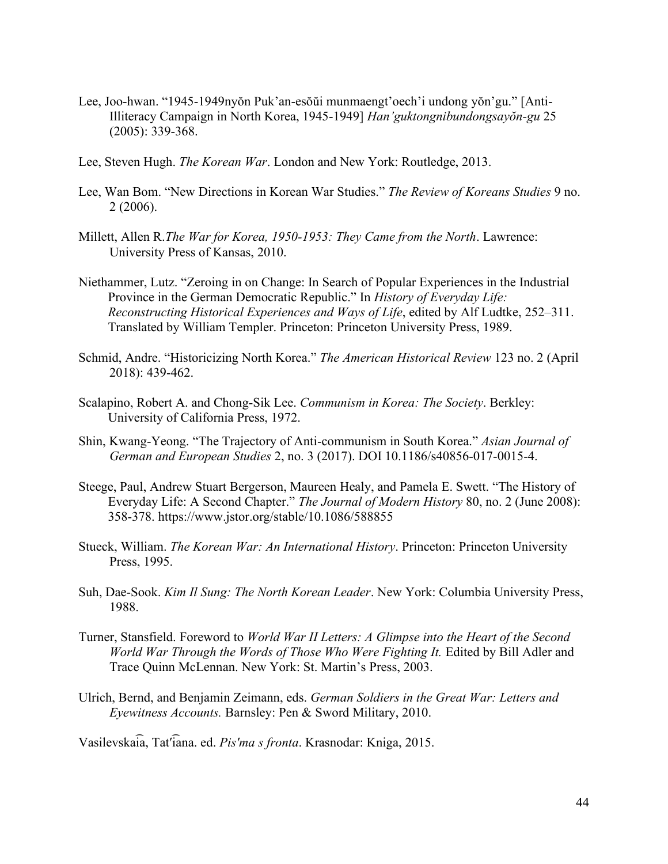- Lee, Joo-hwan. "1945-1949nyŏn Puk'an-esŏŭi munmaengt'oech'i undong yŏn'gu." [Anti-Illiteracy Campaign in North Korea, 1945-1949] *Han'guktongnibundongsayŏn-gu* 25 (2005): 339-368.
- Lee, Steven Hugh. *The Korean War*. London and New York: Routledge, 2013.
- Lee, Wan Bom. "New Directions in Korean War Studies." *The Review of Koreans Studies* 9 no. 2 (2006).
- Millett, Allen R.*The War for Korea, 1950-1953: They Came from the North*. Lawrence: University Press of Kansas, 2010.
- Niethammer, Lutz. "Zeroing in on Change: In Search of Popular Experiences in the Industrial Province in the German Democratic Republic." In *History of Everyday Life: Reconstructing Historical Experiences and Ways of Life*, edited by Alf Ludtke, 252–311. Translated by William Templer. Princeton: Princeton University Press, 1989.
- Schmid, Andre. "Historicizing North Korea." *The American Historical Review* 123 no. 2 (April 2018): 439-462.
- Scalapino, Robert A. and Chong-Sik Lee. *Communism in Korea: The Society*. Berkley: University of California Press, 1972.
- Shin, Kwang-Yeong. "The Trajectory of Anti-communism in South Korea." *Asian Journal of German and European Studies* 2, no. 3 (2017). DOI 10.1186/s40856-017-0015-4.
- Steege, Paul, Andrew Stuart Bergerson, Maureen Healy, and Pamela E. Swett. "The History of Everyday Life: A Second Chapter." *The Journal of Modern History* 80, no. 2 (June 2008): 358-378. https://www.jstor.org/stable/10.1086/588855
- Stueck, William. *The Korean War: An International History*. Princeton: Princeton University Press, 1995.
- Suh, Dae-Sook. *Kim Il Sung: The North Korean Leader*. New York: Columbia University Press, 1988.
- Turner, Stansfield. Foreword to *World War II Letters: A Glimpse into the Heart of the Second World War Through the Words of Those Who Were Fighting It.* Edited by Bill Adler and Trace Quinn McLennan. New York: St. Martin's Press, 2003.
- Ulrich, Bernd, and Benjamin Zeimann, eds. *German Soldiers in the Great War: Letters and Eyewitness Accounts.* Barnsley: Pen & Sword Military, 2010.

Vasilevska͡ia, Tatʹ͡iana. ed. *Pisʹma s fronta*. Krasnodar: Kniga, 2015.